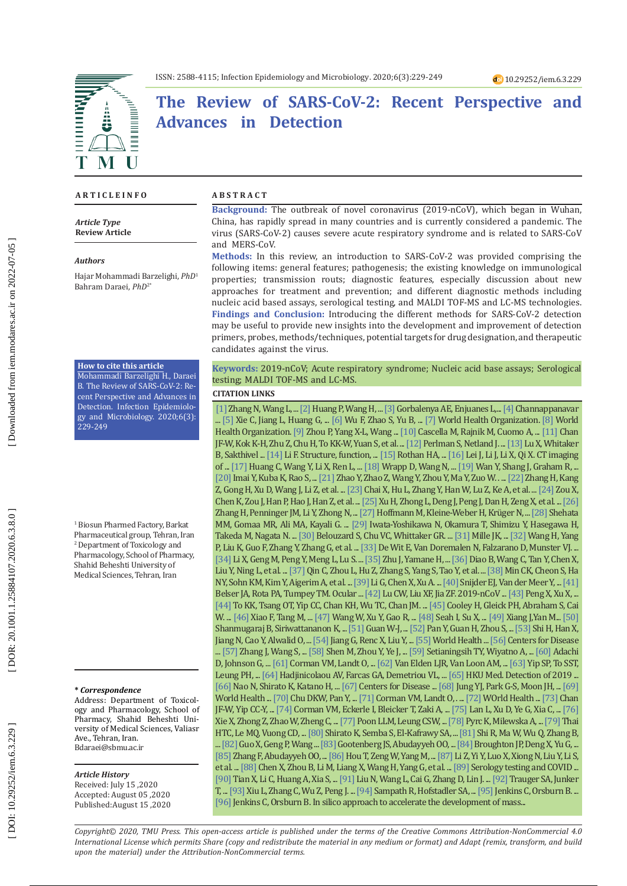# **The Review of SARS-CoV-2: Recent Perspective and Advances in Detection**

#### **A R T I C L E I N F O**

*Article Type* **Review Article**

#### *Authors*

Hajar Mohammadi Barzelighi, *PhD* 1 Bahram Daraei, *PhD*2\*

#### **How to cite this article**

Mohammadi Barzelighi H., Daraei B. The Review of SARS-CoV-2: Recent Perspective and Advances in Detection. Infection Epidemiolo gy and Microbiology. 2020;6(3): 229-249

1 Biosun Pharmed Factory, Barkat Pharmaceutical group, Tehran, Iran 2 Department of Toxicology and Pharmacology, School of Pharmacy, Shahid Beheshti University of Medical Sciences, Tehran, Iran

#### **\*** *Correspondence*

Address: Department of Toxicol ogy and Pharmacology, School of Pharmacy, Shahid Beheshti Uni versity of Medical Sciences, Valiasr Ave., Tehran, Iran. [Bdaraei@sbmu.ac.ir](mailto:Bdaraei@sbmu.ac.ir)

#### *Article History*

Received: July 15 ,2020 Accepted: August 05 ,2020 Published:August 15 ,2020

#### **A B S T R A C T**

**Background:** The outbreak of novel coronavirus (2019-nCoV), which began in Wuhan, China, has rapidly spread in many countries and is currently considered a pandemic. The virus (SARS-CoV-2) causes severe acute respiratory syndrome and is related to SARS-CoV and MERS-CoV.

**Methods:** In this review, an introduction to SARS-CoV-2 was provided comprising the following items: general features; pathogenesis; the existing knowledge on immunological properties; transmission routs; diagnostic features, especially discussion about new approaches for treatment and prevention; and different diagnostic methods including nucleic acid based assays, serological testing, and MALDI TOF-MS and LC-MS technologies. **Findings and Conclusion:** Introducing the different methods for SARS-CoV-2 detection may be useful to provide new insights into the development and improvement of detection primers, probes, methods/techniques, potential targets for drug designation, and therapeutic candidates against the virus.

### **Keywords:** 2019-nCoV; Acute respiratory syndrome; Nucleic acid base assays; Serological testing; MALDI TOF-MS and LC-MS.

### **CITATION LINKS**

[\[1\]](https://www.google.com/url?sa=t&rct=j&q=&esrc=s&source=web&cd=&cad=rja&uact=8&ved=2ahUKEwicx637qK3sAhW1RxUIHVCtCuwQFjABegQIBxAC&url=https%3A%2F%2Fonlinelibrary.wiley.com%2Fdoi%2Fabs%2F10.1002%2Fjmv.25674&usg=AOvVaw2ip9A5Ohk2ZtsuMh-OXjQQ) Zhang N, Wang L, ... [\[2\] H](https://www.frontiersin.org/articles/10.3389/fmicb.2018.01101/full)uang P, Wang H, ... [\[3\] G](https://www.sciencedirect.com/science/article/pii/S0168170206000360)orbalenya AE, Enjuanes L, ... [\[4\]](https://link.springer.com/article/10.1007/s00281-017-0629-x?fbclid=IwAR0xBnmDapKpJn8lryYFoWbhzorGXqxcB9lN1zfWWaM6jrMfizSzWrU1ZAs&error=cookies_not_supported&code=8cdcb8b4-169b-461e-ad03-b1a6c16a3db9) Channappanavar ... [\[5\]](https://www.sciencedirect.com/science/article/pii/S1201971220301089) Xie C, Jiang L, Huang G, ... [\[6\]](https://www.nature.com/articles/s41586-020-2008-3?fbclid=IwAR1VfqWqfRxS1Fi7Mh8yK4X03bcT8VUnnaymxMGlXYdwzWLPv4XhCIuYmFY) Wu F, Zhao S, Yu B, ... [\[7\]](https://www.google.com/url?sa=t&rct=j&q=&esrc=s&source=web&cd=&cad=rja&uact=8&ved=2ahUKEwit-I-Frq3sAhWRqHEKHbBGABMQFjABegQIAhAC&url=https%3A%2F%2Fapps.who.int%2Firis%2Fhandle%2F10665%2F331597&usg=AOvVaw1QAi5ExTC08gE60oT_daRE) World Health Organization. [\[8\]](https://www.google.com/url?sa=t&rct=j&q=&esrc=s&source=web&cd=&cad=rja&uact=8&ved=2ahUKEwjI8pDirq3sAhUdRBUIHRxIAxoQFjAAegQIAxAC&url=https%3A%2F%2Fwww.who.int%2Femergencies%2Fdiseases%2Fnovel-coronavirus-2019%2Finteractive-timeline&usg=AOvVaw0mc15zSDznEFJ_\
3ktV7viH) World Health Organization. [\[9\]](https://www.nature.com/articles/s41586-020-2012-7?rel=outbound) Zhou P, Yang X-L, Wang ... [\[10\]](https://www.ncbi.nlm.nih.gov/books/NBK554776/) Cascella M, Rajnik M, Cuomo A, ... [\[11\]](https://www.tandfonline.com/doi/abs/10.1080/22221751.2020.1719902) Chan JF-W, Kok K-H, Zhu Z, Chu H, To KK-W, Yuan S, et al. ... [\[12\]](https://www.nature.com/articles/nrmicro2147) Perlman S, Netland J. ... [\[13\]](https://jcm.asm.org/content/52/1/67.short) Lu X, Whitaker B, Sakthivel ... [\[14\]](https://www.annualreviews.org/doi/abs/10.1146/annurev-virology-110615-042301) Li F. Structure, function, ... [\[15\]](https://www.sciencedirect.com/science/article/pii/S0896841120300469) Rothan HA, ... [\[16\]](https://pubs.rsna.org/doi/full/10.1148/radiol.2020200236) Lei J, Li J, Li X, Qi X. CT imaging of ... [\[17\]](https://www.sciencedirect.com/science/article/pii/S0140673620301835) Huang C, Wang Y, Li X, Ren L, ... [\[18\]](https://science.sciencemag.org/content/367/6483/1260.abstract) Wrapp D, Wang N, ... [\[19\]](https://jvi.asm.org/content/94/7/e00127-20?_ga=2.265409295.1611640120.1581636020-280187052.1580834497=Wan,) Wan Y, Shang J, Graham R, ... [\[20\]](https://www.nature.com/articles/nature03712/briefing/signup/) Imai Y, Kuba K, Rao S, ... [\[21\]](https://www.biorxiv.org/content/10.1101/2020.01.26.919985v1.full?luicode=10000011&lfid=231522type%3D1%26t%3D10%26q%3D%23%E7%94%9F%E7%89%A9%E6%88%98%23&featurecode=1&u=https%3A%2F%2Fwww.biorxiv.org%2Fcontent%2F10.1101%2F2020.01.26.919985v1.full) Zhao Y, Zhao Z, Wang Y, Zhou Y, Ma Y, Zuo W. . ... [\[22\]](https://www.biorxiv.org/content/10.1101/2020.01.30.927806v1.abstract) Zhang H, Kang Z, Gong H, Xu D, Wang J, Li Z, et al. ... [\[23\]](https://www.biorxiv.org/content/10.1101/2020.02.03.931766v1.abstract) Chai X, Hu L, Zhang Y, Han W, Lu Z, Ke A, et al. ... [\[24\]](https://link.springer.com/content/pdf/10.1007/s11684-020-0754-0.pdf) Zou X, Chen K, Zou J, Han P, Hao J, Han Z, et al. ... [\[25\]](https://www.nature.com/articles/s41368-020-0074-x?fbclid=IwAR16DWwm90H9wGnzbzjrXu188Jfiv7uz5RdDf-e0ptYNfA8kadCAh-HBxxQ) Xu H, Zhong L, Deng J, Peng J, Dan H, Zeng X, et al. ... [\[26\]](https://link.springer.com/article/10.1007/s00134-020-05985-9?fbclid=IwAR05sZuejQgHy6X0PCK2bPBMYaTm3jtnMltRNjaGRnwh-FVtz-QLNcQowfk&error=cookies_not_supported&code=20cd24cd-6928-4846-ba6d-a9c7fc4cb4cc) Zhang H, Penninger JM, Li Y, Zhong N, ... [\[27\]](https://www.biorxiv.org/content/10.1101/2020.01.31.929042v1.abstract) Hoffmann M, Kleine-Weber H, Krüger N, ... [\[28\]](https://link.springer.com/article/10.1007/s11684-016-0430-6) [Shehata](https://www.ncbi.nlm.nih.gov/pubmed/?term=Shehata%20MM%5BAuthor%5D&cauthor=true&cauthor_uid=26791756) MM[, Gomaa](https://www.ncbi.nlm.nih.gov/pubmed/?term=Gomaa%20MR%5BAuthor%5D&cauthor=true&cauthor_uid=26791756) MR, [Ali](https://www.ncbi.nlm.nih.gov/pubmed/?term=Ali%20MA%5BAuthor%5D&cauthor=true&cauthor_uid=26791756) MA, [Kayali](https://www.ncbi.nlm.nih.gov/pubmed/?term=Kayali%20G%5BAuthor%5D&cauthor=true&cauthor_uid=26791756) G. ... [\[29\]](https://jvi.asm.org/content/93/6/e01815-18.abstract) Iwata-Yoshikawa N, Okamura T, Shimizu Y, Hasegawa H, Takeda M, Nagata N. ... [\[30\]](https://www.google.com/url?sa=t&rct=j&q=&esrc=s&source=web&cd=&cad=rja&uact=8&ved=2ahUKEwj2seXAtq3sAhW7ShUIHTo-DpwQFjABegQIARAC&url=https%3A%2F%2Fpubmed.ncbi.nlm.nih.gov%2F19321428%2F&usg=AOvVaw2yl1Z69daddpYkOxDsaY0y) Belouzard S, Chu VC, Whittaker GR. ... [\[31\]](https://www.google.com/url?sa=t&rct=j&q=&esrc=s&source=web&cd=&cad=rja&uact=8&ved=2ahUKEwjKi8_Dt63sAhWQZxUIHaEiBmIQFjABegQIARAC&url=https%3A%2F%2Fpubmed.ncbi.nlm.nih.gov%2F25288733%2F&usg=AOvVaw0PHGn4tTtS221hJsLOl2xe) Mille JK, ... [\[32\]](https://www.nature.com/articles/cr200815) Wang H, Yang P, Liu K, Guo F, Zhang Y, Zhang G, et al. ... [\[33\]](https://www.nature.com/articles/nrmicro.2016.81.pdf?origin=ppub) De Wit E, Van Doremalen N, Falzarano D, Munster VJ. ... [\[34\]](https://www.sciencedirect.com/science/article/pii/S2095177920302045) Li X, Geng M, Peng Y, Meng L, Lu S. ... [\[35\]](https://www.annualreviews.org/doi/abs/10.1146/annurev-immunol-030409-101212) Zhu J, Yamane H, ... [\[36\]](https://www.frontiersin.org/articles/10.3389/fimmu.2020.00827/full?utm_source=fweb&utm_medium=nblog&utm_campaign=ba-sci-fimmu-covid-tcell-exhaustion) Diao B, Wang C, Tan Y, Chen X, Liu Y, Ning L, et al. ... [\[37\]](https://academic.oup.com/cid/article-abstract/doi/10.1093/cid/ciaa248/5803306) Qin C, Zhou L, Hu Z, Zhang S, Yang S, Tao Y, et al. ... [\[38\]](https://www.nature.com/articles/srep25359) Min CK, Cheon S, Ha NY, Sohn KM, Kim Y, Aigerim A, et al. ... [\[39\]](https://www.nejm.org/doi/full/10.1056/NEJM200307313490520) Li G, Chen X, Xu A. ... [\[40\]](https://jvi.asm.org/content/80/12/5927.short) Snijder EJ, Van der Meer Y, ... [\[41\]](https://mmbr.asm.org/content/77/1/144.short) Belser JA, Rota PA, Tumpey TM. Ocular ... [\[42\]](https://www.ncbi.nlm.nih.gov/pmc/articles/PMC7133551/) Lu CW, Liu XF, Jia ZF. 2019-nCoV ... [\[43\]](https://www.nature.com/articles/s41368-020-0075-9?fbclid=IwAR2Qbw5mq7lWgS5CnTmL9a0vbk-VXBDplS7RopTYJL6XRqcUt4l0TtiY0PY) Peng X, Xu X, ... [\[44\]](https://academic.oup.com/cid/article-abstract/doi/10.1093/cid/ciaa149/5734265) To KK, Tsang OT, Yip CC, Chan KH, Wu TC, Chan JM. ... [\[45\]](https://www.google.com/url?sa=t&rct=j&q=&esrc=s&source=web&cd=&cad=rja&uact=8&ved=2ahUKEwiv2Muwu63sAhXoRxUIHTCWCCQQFjAAegQIAxAC&url=https%3A%2F%2Fpacinst.org%2Fpublication%2Fcoronavirus-impacts-on-municipal-water-demand%2F&usg=AOvVaw2psM5CBwVnvtEzBhk2dSgQ\
) Cooley H, Gleick PH, Abraham S, Cai W. ... [\[46\] X](https://www.gastrojournal.org/article/S0016-5085\(20\)30282-1/abstract)iao F, Tang M, ... [\[47\]](https://jamanetwork.com/journals/jama/article-abstract/2762997) Wang W, Xu Y, Gao R, ... [\[48\]](https://www.nature.com/articles/s41433-020-0790-7) Seah I, Su X, ... [\[49\]](https://www.google.com/url?sa=t&rct=j&q=&esrc=s&source=web&cd=&cad=rja&uact=8&ved=2ahUKEwjco6DawK3sAhVPURUIHTjUADcQFjACegQIARAC&url=https%3A%2F%2Feuropepmc.org%2Farticle%2Fppr%2Fppr115301&usg=AOvVaw2BfA9_ZJoCKEsWFpJtsdJp) Xiang J,Yan M... [\[50\]](https://www.google.com/url?sa=t&rct=j&q=&esrc=s&source=web&cd=&cad=rja&uact=8&ved=2ahUKEwiJ_Ia9wK3sAhXoWRUIHVI0DhYQFjAAegQIARAC&url=https%3A%2F%2Fpubmed.ncbi.nlm.nih.gov%2F32134278%2F&usg=AOvVaw2RAr4zElI4SEBQKCxo94BD)  Shanmugaraj B, Siriwattananon K, ... [\[51\]](https://www.nejm.org/doi/full/10.1056/NEJMoa2002032) Guan W-J, ... [\[52\]](https://www.google.com/url?sa=t&rct=j&q=&esrc=s&source=web&cd=&cad=rja&uact=8&ved=2ahUKEwje_YSKwa3sAhXdUBUIHRnwBgcQFjABegQIAhAC&url=https%3A%2F%2Fpubmed.ncbi.nlm.nih.gov%2F32055945%2F&usg=AOvVaw1LKFTTmAPmfKV7fQFfUkF7) Pan Y, Guan H, Zhou S, ... [\[53\]](https://www.sciencedirect.com/science/article/pii/S1473309920300864) Shi H, Han X, Jiang N, Cao Y, Alwalid O, ... [\[54\]](https://www.google.com/url?sa=t&rct=j&q=&esrc=s&source=web&cd=&cad=rja&uact=8&ved=2ahUKEwipuKfkw63sAhVys3EKHeszCFMQFjACegQIARAC&url=https%3A%2F%2Fwww.researchgate.net%2Fpublication%2F339545329_Application_and_optimization_of_RT-PCR_in_diagnosis_of_SARS-Co\
V-2_infection&usg=AOvVaw23YxdUPMWuf6fKhPi7awZ5) Jiang G, Renc X, Liu Y, ... [\[55\]](https://www.google.com/url?sa=t&rct=j&q=&esrc=s&source=web&cd=&cad=rja&uact=8&ved=2ahUKEwi8nZX1wa3sAhWUs3EKHTLbC8kQFjAAegQIAhAC&url=https%3A%2F%2Fwww.who.int%2Femergencies%2Fdiseases%2Fnovel-coronavirus-2019%2Ftechnical-guidance-publications&usg=AOvVaw1Fp\
YYi4CMt50u1Byvp-Gbw) World Health ... [\[56\]](https://www.google.com/url?sa=t&rct=j&q=&esrc=s&source=web&cd=&cad=rja&uact=8&ved=2ahUKEwifnu_Swq3sAhXRVBUIHRCRAXEQFjACegQIBRAC&url=https%3A%2F%2Fwww.cdc.gov%2Fcoronavirus%2F2019-ncov%2Fdownloads%2FList-of-Acceptable-Commercial-Primers-Probes.pdf&usg=AOvV\
aw1eCeB42brYtcwimJp-EFrm) Centers for Disease ... [\[57\]](https://onlinelibrary.wiley.com/doi/abs/10.1002/jmv.25742) Zhang J, Wang S, ... [\[58\]](https://www.sciencedirect.com/science/article/pii/S2095177920302082) Shen M, Zhou Y, Ye J, ... [\[59\]](https://www.sciencedirect.com/science/article/pii/S120197121930267X) Setianingsih TY, Wiyatno A, ... [\[60\]](https://www.google.com/url?sa=t&rct=j&q=&esrc=s&source=web&cd=&cad=rja&uact=8&ved=2ahUKEwilq_2UxK3sAhViaRUIHYFQBikQFjAAegQICxAC&url=https%3A%2F%2Fpubmed.ncbi.nlm.nih.gov%2F15488617%2F&usg=AOvVaw2vKkPr-XsLapvD3kUZGtRo) Adachi D, Johnson G, ... [\[61\]](https://www.google.com/url?sa=t&rct=j&q=&esrc=s&source=web&cd=&cad=rja&uact=8&ved=2ahUKEwjIk6LvxK3sAhUwSBUIHb1hDtIQFjAAegQIBRAC&url=https%3A%2F%2Fwww.ncbi.nlm.nih.gov%2Fpmc%2Farticles%2FPMC6988269%2F&usg=AOvVaw0QrT3hzNQhOYmxWB6U59GU) Corman VM, Landt O, ... [\[62\]](https://academic.oup.com/jid/article-abstract/189/4/652/839121) Van Elden LJR, Van Loon AM, ... [\[63\]](https://academic.oup.com/clinchem/article-abstract/51/10/1885/5629574) Yip SP, To SST, Leung PH, ... [\[64\]](https://link.springer.com/content/pdf/10.1007/s00705-010-0906-7.pdf) Hadjinicolaou AV, Farcas GA, Demetriou VL, ... [\[65\] H](https://www.google.com/url?sa=t&rct=j&q=&esrc=s&source=web&cd=&cad=rja&uact=8&ved=2ahUKEwjq3ofOxa3sAhVbWxUIHcHMA1YQFjAAegQIBhAC&url=https%3A%2F%2Fwww.who.int%2Fdocs%2Fdefault-source%2Fcoronaviruse%2Fpeiris-protocol-16-1-20.pdf%3Fsfvrsn%3Daf1aac73_4&usg=AO\
vVaw0XJAga9KJlD65xONkZYMxn)KU Med. Detection of 2019 ... [\[66\]](https://www.google.com/url?sa=t&rct=j&q=&esrc=s&source=web&cd=&cad=rja&uact=8&ved=2ahUKEwjJq87sxa3sAhWXVRUIHTHqB0wQFjAAegQIBhAC&url=https%3A%2F%2Fwww.niid.go.jp%2Fniid%2Fen%2F2019-ncov-e%2F9334-ncov-vir3-2.html&usg=AOvVaw0lX31LHeqb0vxyAaaI8T_G) Nao N, Shirato K, Katano H, ... [\[67\]](https://www.google.com/url?sa=t&rct=j&q=&esrc=s&source=web&cd=&cad=rja&uact=8&ved=2ahUKEwjM5aGSxq3sAhViXhUIHf8KAUEQFjAAegQIARAC&url=https%3A%2F%2Fwww.cdc.gov%2Fcoronavirus%2F2019-ncov%2Flab%2Frt-pcr-panel-primer-probes.html&usg=AOvVaw3_R-fut7ErgJmw2DcLIyk\
z) Centers for Disease ... [\[68\]](https://www.biorxiv.org/content/10.1101/2020.02.25.964775v1.abstract) Jung YJ, Park G-S, Moon JH, ... [\[69\]](https://www.google.com/url?sa=t&rct=j&q=&esrc=s&source=web&cd=&cad=rja&uact=8&ved=2ahUKEwjv2-zhxq3sAhV8UBUIHVN2BHUQFjAAegQIBhAC&url=https%3A%2F%2Fwww.who.int%2Fdocs%2Fdefault-source%2Fcoronaviruse%2Freal-time-rt-pcr-assays-for-the-detection-of-sars-cov-2-\
institut-pasteur-paris.pdf%3Fsfvrsn%3D3662fcb6_2&usg=AOvVaw2sUZaSp7KWKMfDIDFQ5Xqg)  World Health ... [\[70\]](https://academic.oup.com/clinchem/article-abstract/66/4/549/5719336) Chu DKW, Pan Y, ... [\[71\]](https://www.who.int/docs/default-source/coronaviruse/wuhan-virus-assay-v1991527e5122341d99287a1b17c111902.pdf) Corman VM, Landt O, . ... [\[72\]](https://www.google.com/url?sa=t&rct=j&q=&esrc=s&source=web&cd=&cad=rja&uact=8&ved=2ahUKEwjr24rqx63sAhUdUhUIHXd3BhYQFjAAegQIBBAC&url=https%3A%2F%2Fwww.who.int%2Femergencies%2Fdiseases%2Fnovel-coronavirus-2019%2Ftechnical-guidance&usg=AOvVaw14cOa8qDy7T3PoWd\
7g11vS) WOrld Health ... [\[73\]](https://www.google.com/url?sa=t&rct=j&q=&esrc=s&source=web&cd=&cad=rja&uact=8&ved=2ahUKEwivwdeOyK3sAhVKSBUIHSb7AnUQFjAAegQIBRAC&url=https%3A%2F%2Fwww.ncbi.nlm.nih.gov%2Fpmc%2Farticles%2FPMC7180250%2F&usg=AOvVaw3oqP0iJ9d5_N-j17Fg6xkO) Chan JF-W, Yip CC-Y, ... [\[74\]](https://www.google.com/url?sa=t&rct=j&q=&esrc=s&source=web&cd=&cad=rja&uact=8&ved=2ahUKEwi-m7e1yK3sAhVwURUIHRPqCEEQFjACegQIARAC&url=https%3A%2F%2Fpubmed.ncbi.nlm.nih.gov%2F23041020%2F&usg=AOvVaw0YKijGMvvyBZJ3Th4FCzIz) Corman VM, Eckerle I, Bleicker T, Zaki A, ... [\[75\]](https://jamanetwork.com/journals/jama/article-abstract/2762452) Lan L, Xu D, Ye G, Xia C, ... [\[76\]](https://pdfs.semanticscholar.org/63ee/049c91866d08aeda9e8241f93eec807c9396.pdf)  Xie X, Zhong Z, Zhao W, Zheng C, ... [\[77\]](https://academic.oup.com/clinchem/article-abstract/50/6/1050/5639962) Poon LLM, Leung CSW, ... [\[78\]](https://www.sciencedirect.com/science/article/pii/S0166093411001625) Pyrc K, Milewska A, ... [\[79\]](https://jcm.asm.org/content/42/5/1956.short) Thai HTC, Le MQ, Vuong CD, ... [\[80\]](https://www.sciencedirect.com/science/article/pii/S0166093418301058) Shirato K, Semba S, El-Kafrawy SA, ... [\[81\]](https://link.springer.com/article/10.1007/BF03183928) Shi R, Ma W, Wu Q, Zhang B, ... [\[82\]](http://www.kpubs.org/article/articleDownload.kpubs?downType=pdf&articleANo=E1MBA4_2014_v24n10_1445) Guo X, Geng P, Wang ... [\[83\]](https://science.sciencemag.org/content/356/6336/438.abstract) Gootenberg JS, Abudayyeh OO, ... [\[84\] B](https://www.ncbi.nlm.nih.gov/pmc/articles/PMC7239074/)roughton JP, Deng X, Yu G, ... [\[85\]](https://go.idtdna.com/rs/400-UEU-432/images/Zhang%20et%20al.%2C%202020%20COVID-19%20detection%20%28updated%29.pdf) Zhang F, Abudayyeh OO, ... [\[86\]](https://www.google.com/url?sa=t&rct=j&q=&esrc=s&source=web&cd=&cad=rja&uact=8&ved=2ahUKEwj9-I2XzK3sAhUmThUIHV4hAw0QFjACegQIBRAC&url=https%3A%2F%2Fjournals.plos.org%2Fplospathogens%2Farticle%3Fid%3D10.1371%2Fjournal.ppat.1008705&usg=AOvVaw2AEvGwQRLl4sYMrcj\
t2wsn) Hou T, Zeng W, Yang M, ... [\[87\]](https://onlinelibrary.wiley.com/doi/abs/10.1002/jmv.25727) Li Z, Yi Y, Luo X, Xiong N, Liu Y, Li S, et al. ... [\[88\]](https://academic.oup.com/jid/article-abstract/189/7/1158/871418) Chen X, Zhou B, Li M, Liang X, Wang H, Yang G, et al. ... [\[89\]](https://www.google.com/url?sa=t&rct=j&q=&esrc=s&source=web&cd=&cad=rja&uact=8&ved=2ahUKEwiqrpXcy63sAhXbSRUIHQYyBLcQFjABegQIBBAC&url=https%3A%2F%2Fwww.publichealthontario.ca%2F-%2Fmedia%2Fdocuments%2Fncov%2Fcovid-wwksf%2F2020%2F07%2Fwhat-we-know-serology-t\
esting-covid.pdf%3Fla%3Den&usg=AOvVaw0rU8vmxc1bI0BpkhkfhLJH) Serology testing and COVID ... [\[90\]](https://www.tandfonline.com/doi/abs/10.1080/22221751.2020.1729069) Tian X, Li C, Huang A, Xia S, ... [\[91\]](https://www.sciencedirect.com/science/article/pii/S0166093419301880) Liu N, Wang L, Cai G, Zhang D, Lin J. ... [\[92\]](https://link.springer.com/chapter/10.1007/3-540-36113-8_8) Trauger SA, Junker T, ... [\[93\]](https://www.frontiersin.org/articles/10.3389/fmicb.2017.01510/full) Xiu L, Zhang C, Wu Z, Peng J. ... [\[94\]](https://www.ncbi.nlm.nih.gov/pmc/articles/PMC3298233/) Sampath R, Hofstadler SA, ... [\[95\]](https://www.biorxiv.org/content/10.1101/2020.03.08.980383v1.full-text) Jenkins C, Orsburn B. ... [\[96\]](https://www.biorxiv.org/content/10.1101/2020.03.08.980383v1.full-text) Jenkins C, Orsburn B. In silico approach to accelerate the development of mass...

*Copyright© 2020, TMU Press. This open-access article is published under the terms of the Creative Commons Attribution-NonCommercial 4.0 International License which permits Share (copy and redistribute the material in any medium or format) and Adapt (remix, transform, and build upon the material) under the Attribution-NonCommercial terms.*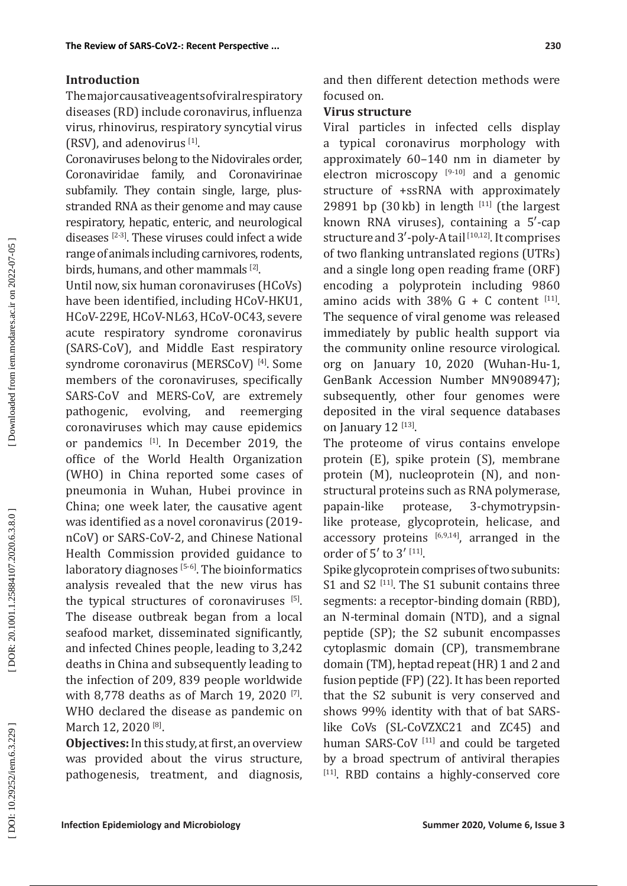### **Introduction**

The major causative agents of viral respiratory diseases (RD) include coronavirus, influenza virus, rhinovirus, respiratory syncytial virus  $(RSV)$ , and adenovirus  $[1]$ .

Coronaviruses belong to the Nidovirales order, Coronaviridae family, and Coronavirinae subfamily. They contain single, large, plusstranded RNA as their genome and may cause respiratory, hepatic, enteric, and neurological diseases [2-3]. These viruses could infect a wide range of animals including carnivores, rodents, birds, humans, and other mammals [2].

Until now, six human coronaviruses (HCoVs) have been identified, including HCoV-HKU1, HCoV-229E, HCoV-NL63, HCoV-OC43, severe acute respiratory syndrome coronavirus (SARS-CoV), and Middle East respiratory syndrome coronavirus (MERSCoV)<sup>[4]</sup>. Some members of the coronaviruses, specifically SARS-CoV and MERS-CoV, are extremely pathogenic, evolving, and reemerging coronaviruses which may cause epidemics or pandemics [1]. In December 2019, the office of the World Health Organization (WHO) in China reported some cases of pneumonia in Wuhan, Hubei province in China; one week later, the causative agent was identified as a novel coronavirus (2019 nCoV) or SARS-CoV-2, and Chinese National Health Commission provided guidance to laboratory diagnoses  $[5-6]$ . The bioinformatics analysis revealed that the new virus has the typical structures of coronaviruses  $[5]$ . The disease outbreak began from a local seafood market, disseminated significantly, and infected Chines people, leading to 3,242 deaths in China and subsequently leading to the infection of 209, 839 people worldwide with 8,778 deaths as of March 19, 2020 <sup>[7]</sup>. WHO declared the disease as pandemic on March 12, 2020<sup>[8]</sup>.

**Objectives:** In this study, at first, an overview was provided about the virus structure, pathogenesis, treatment, and diagnosis, and then different detection methods were focused on.

### **Virus structure**

Viral particles in infected cells display a typical coronavirus morphology with approximately 60–140 nm in diameter by electron microscopy  $[9-10]$  and a genomic structure of +ssRNA with approximately 29891 bp (30 $kb$ ) in length  $[11]$  (the largest known RNA viruses), containing a 5′-cap structure and 3'-poly-A tail [10,12]. It comprises of two flanking untranslated regions (UTRs) and a single long open reading frame (ORF) encoding a polyprotein including 9860 amino acids with 38% G + C content  $[11]$ . The sequence of viral genome was released immediately by public health support via the community online resource virological. org on January 10, 2020 (Wuhan-Hu-1, GenBank Accession Number MN908947); subsequently, other four genomes were deposited in the viral sequence databases on January  $12$  [13].

The proteome of virus contains envelope protein (E), spike protein (S), membrane protein (M), nucleoprotein (N), and nonstructural proteins such as RNA polymerase, papain-like protease, 3-chymotrypsinlike protease, glycoprotein, helicase, and accessory proteins  $[6,9,14]$ , arranged in the order of 5' to 3' [11].

Spike glycoprotein comprises of two subunits: S1 and S2  $[11]$ . The S1 subunit contains three segments: a receptor-binding domain (RBD), an N-terminal domain (NTD), and a signal peptide (SP); the S2 subunit encompasses cytoplasmic domain (CP), transmembrane domain (TM), heptad repeat (HR) 1 and 2 and fusion peptide (FP) (22). It has been reported that the S2 subunit is very conserved and shows 99% identity with that of bat SARSlike CoVs (SL-CoVZXC21 and ZC45) and human SARS-CoV<sup>[11]</sup> and could be targeted by a broad spectrum of antiviral therapies [11]. RBD contains a highly-conserved core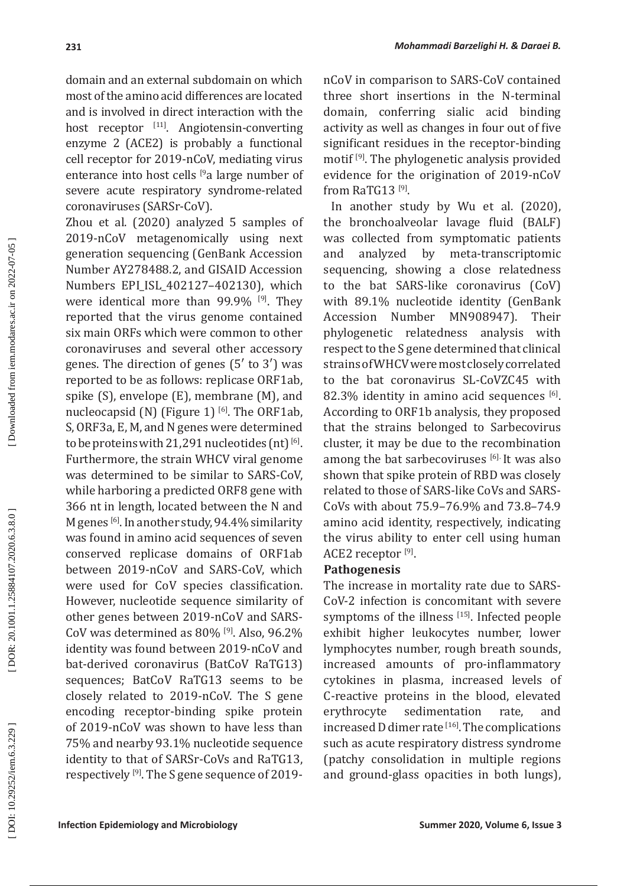domain and an external subdomain on which most of the amino acid differences are located and is involved in direct interaction with the host receptor [11]. Angiotensin-converting enzyme 2 (ACE2) is probably a functional cell receptor for 2019-nCoV, mediating virus enterance into host cells <sup>[9</sup>a large number of severe acute respiratory syndrome-related coronaviruses (SARSr-CoV).

Zhou et al. (2020) analyzed 5 samples of 2019-nCoV metagenomically using next generation sequencing (GenBank Accession Number AY278488.2, and GISAID Accession Numbers EPI\_ISL\_402127–402130), which were identical more than 99.9% [9]. They reported that the virus genome contained six main ORFs which were common to other coronaviruses and several other accessory genes. The direction of genes (5′ to 3′) was reported to be as follows: replicase ORF1ab, spike (S), envelope (E), membrane (M), and nucleocapsid (N) (Figure 1)  $[6]$ . The ORF1ab, S, ORF3a, E, M, and N genes were determined to be proteins with 21,291 nucleotides (nt)  $[6]$ . Furthermore, the strain WHCV viral genome was determined to be similar to SARS-CoV, while harboring a predicted ORF8 gene with 366 nt in length, located between the N and M genes [6]. In another study, 94.4% similarity was found in amino acid sequences of seven conserved replicase domains of ORF1ab between 2019-nCoV and SARS-CoV, which were used for CoV species classification. However, nucleotide sequence similarity of other genes between 2019-nCoV and SARS-CoV was determined as 80% [9]. Also, 96.2% identity was found between 2019-nCoV and bat-derived coronavirus (BatCoV RaTG13) sequences; BatCoV RaTG13 seems to be closely related to 2019-nCoV. The S gene encoding receptor-binding spike protein of 2019-nCoV was shown to have less than 75% and nearby 93.1% nucleotide sequence identity to that of SARSr-CoVs and RaTG13, respectively [9]. The S gene sequence of 2019nCoV in comparison to SARS-CoV contained three short insertions in the N-terminal domain, conferring sialic acid binding activity as well as changes in four out of five significant residues in the receptor-binding motif [9]. The phylogenetic analysis provided evidence for the origination of 2019-nCoV from RaTG13<sup>[9]</sup>.

 In another study by Wu et al. (2020), the bronchoalveolar lavage fluid (BALF) was collected from symptomatic patients and analyzed by meta-transcriptomic sequencing, showing a close relatedness to the bat SARS-like coronavirus (CoV) with 89.1% nucleotide identity (GenBank<br>Accession Number MN908947). Their Accession Number MN908947). Their phylogenetic relatedness analysis with respect to the S gene determined that clinical strains of WHCV were most closely correlated to the bat coronavirus SL-CoVZC45 with 82.3% identity in amino acid sequences [6]. According to ORF1b analysis, they proposed that the strains belonged to Sarbecovirus cluster, it may be due to the recombination among the bat sarbecoviruses [6]. It was also shown that spike protein of RBD was closely related to those of SARS-like CoVs and SARS-CoVs with about 75.9–76.9% and 73.8–74.9 amino acid identity, respectively, indicating the virus ability to enter cell using human ACE2 receptor<sup>[9]</sup>.

### **Pathogenesis**

The increase in mortality rate due to SARS-CoV-2 infection is concomitant with severe symptoms of the illness [15]. Infected people exhibit higher leukocytes number, lower lymphocytes number, rough breath sounds, increased amounts of pro-inflammatory cytokines in plasma, increased levels of C-reactive proteins in the blood, elevated erythrocyte sedimentation rate, and increased D dimer rate  $[16]$ . The complications such as acute respiratory distress syndrome (patchy consolidation in multiple regions and ground-glass opacities in both lungs),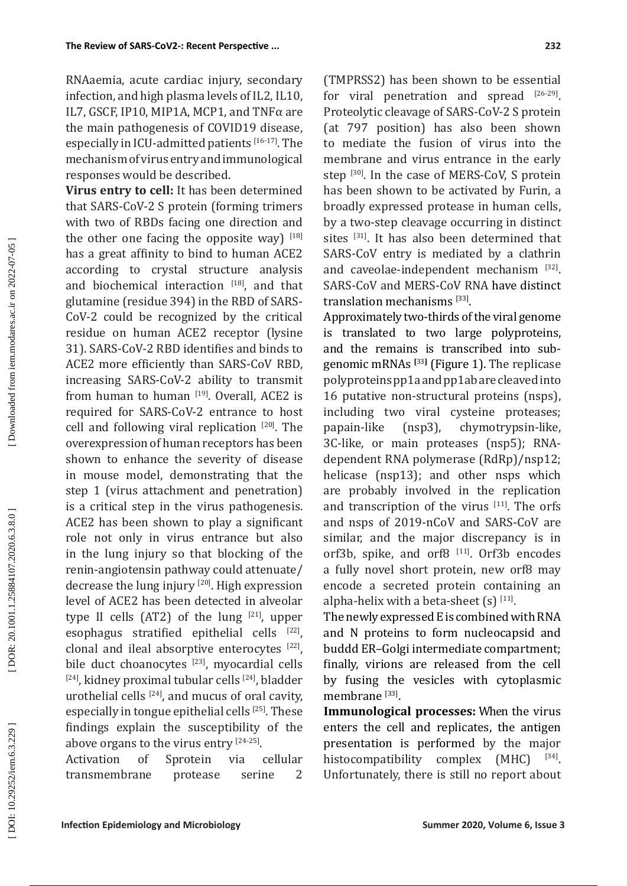RNAaemia, acute cardiac injury, secondary infection, and high plasma levels of IL2, IL10, IL7, GSCF, IP10, MIP1A, MCP1, and TNFα are the main pathogenesis of COVID19 disease, especially in ICU-admitted patients [16-17]. The mechanism of virus entry and immunological responses would be described.

**Virus entry to cell:** It has been determined that SARS-CoV-2 S protein (forming trimers with two of RBDs facing one direction and the other one facing the opposite way)  $[18]$ has a great affinity to bind to human ACE2 according to crystal structure analysis and biochemical interaction  $[18]$ , and that glutamine (residue 394) in the RBD of SARS-CoV-2 could be recognized by the critical residue on human ACE2 receptor (lysine 31). SARS-CoV-2 RBD identifies and binds to ACE2 more efficiently than SARS-CoV RBD, increasing SARS-CoV-2 ability to transmit from human to human  $[19]$ . Overall, ACE2 is required for SARS-CoV-2 entrance to host cell and following viral replication [20]. The overexpression of human receptors has been shown to enhance the severity of disease in mouse model, demonstrating that the step 1 (virus attachment and penetration) is a critical step in the virus pathogenesis. ACE2 has been shown to play a significant role not only in virus entrance but also in the lung injury so that blocking of the renin-angiotensin pathway could attenuate/ decrease the lung injury [20]. High expression level of ACE2 has been detected in alveolar type II cells  $(AT2)$  of the lung  $[21]$ , upper esophagus stratified epithelial cells  $[22]$ , clonal and ileal absorptive enterocytes [22], bile duct choanocytes [23], myocardial cells  $[24]$ , kidney proximal tubular cells  $[24]$ , bladder urothelial cells  $[24]$ , and mucus of oral cavity, especially in tongue epithelial cells [25]. These findings explain the susceptibility of the above organs to the virus entry  $[24-25]$ .

Activation of Sprotein via cellular transmembrane protease serine 2 (TMPRSS2) has been shown to be essential for viral penetration and spread [26-29]. Proteolytic cleavage of SARS-CoV-2 S protein (at 797 position) has also been shown to mediate the fusion of virus into the membrane and virus entrance in the early step [30]. In the case of MERS-CoV, S protein has been shown to be activated by Furin, a broadly expressed protease in human cells, by a two-step cleavage occurring in distinct sites [31]. It has also been determined that SARS-CoV entry is mediated by a clathrin and caveolae-independent mechanism [32]. SARS-CoV and MERS-CoV RNA have distinct translation mechanisms [33].

Approximately two-thirds of the viral genome is translated to two large polyproteins, and the remains is transcribed into subgenomic mRNAs **[**33**]** (Figure 1). The replicase polyproteins pp1a and pp1ab are cleaved into 16 putative non-structural proteins (nsps), including two viral cysteine proteases; papain-like (nsp3), chymotrypsin-like, 3C-like, or main proteases (nsp5); RNAdependent RNA polymerase (RdRp)/nsp12; helicase (nsp13); and other nsps which are probably involved in the replication and transcription of the virus [11]. The orfs and nsps of 2019-nCoV and SARS-CoV are similar, and the major discrepancy is in orf3b, spike, and orf8<sup>[11]</sup>. Orf3b encodes a fully novel short protein, new orf8 may encode a secreted protein containing an alpha-helix with a beta-sheet  $(s)$  [11].

The newly expressed E is combined with RNA and N proteins to form nucleocapsid and buddd ER–Golgi intermediate compartment; finally, virions are released from the cell by fusing the vesicles with cytoplasmic membrane  $^{[33]}$ .

**Immunological processes:** When the virus enters the cell and replicates, the antigen presentation is performed by the major histocompatibility complex  $(MHC)$  [34]. Unfortunately, there is still no report about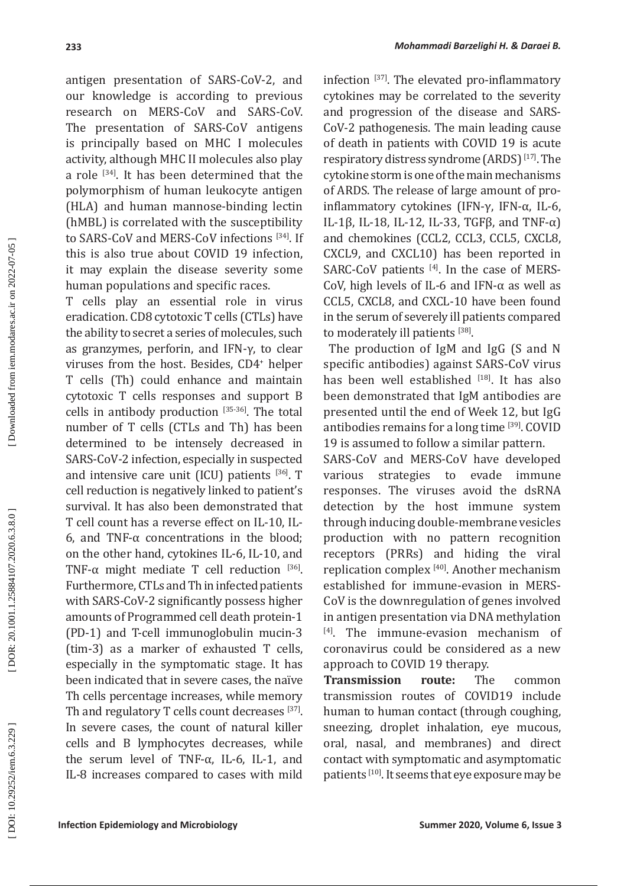antigen presentation of SARS-CoV-2, and our knowledge is according to previous research on MERS-CoV and SARS-CoV. The presentation of SARS-CoV antigens is principally based on MHC I molecules activity, although MHC II molecules also play a role [34]. It has been determined that the polymorphism of human leukocyte antigen (HLA) and human mannose-binding lectin (hMBL) is correlated with the susceptibility to SARS-CoV and MERS-CoV infections [34]. If this is also true about COVID 19 infection, it may explain the disease severity some human populations and specific races.

T cells play an essential role in virus eradication. CD8 cytotoxic T cells (CTLs) have the ability to secret a series of molecules, such as granzymes, perforin, and IFN-γ, to clear viruses from the host. Besides, CD4 + helper T cells (Th) could enhance and maintain cytotoxic T cells responses and support B cells in antibody production [35-36]. The total number of T cells (CTLs and Th) has been determined to be intensely decreased in SARS-CoV -2 infection, especially in suspected and intensive care unit  $(ICU)$  patients  $[36]$ . T cell reduction is negatively linked to patient's survival. It has also been demonstrated that T cell count has a reverse effect on IL-10, IL-6, and TNF-α concentrations in the blood; on the other hand, cytokines IL-6, IL-10, and TNF- $\alpha$  might mediate T cell reduction [36]. Furthermore, CTLs and Th in infected patients with SARS-CoV-2 significantly possess higher amounts of Programmed cell death protein-1 (PD-1) and T-cell immunoglobulin mucin-3 (tim-3) as a marker of exhausted T cells, especially in the symptomatic stage. It has been indicated that in severe cases, the naïve Th cells percentage increases, while memory Th and regulatory T cells count decreases [37]. In severe cases, the count of natural killer cells and B lymphocytes decreases, while the serum level of TNF- $\alpha$ , IL-6, IL-1, and IL-8 increases compared to cases with mild

infection [37]. The elevated pro-inflammatory cytokines may be correlated to the severity and progression of the disease and SARS-CoV-2 pathogenesis. The main leading cause of death in patients with COVID 19 is acute respiratory distress syndrome (ARDS) [17]. The cytokine storm is one of the main mechanisms of ARDS. The release of large amount of proinflammatory cytokines (IFN-γ, IFN-α, IL-6, IL-1β, IL-18, IL-12, IL-33, TGFβ, and TNF- $\alpha$ ) and chemokines (CCL2, CCL3, CCL5, CXCL8, CXCL9, and CXCL10) has been reported in SARC-CoV patients [4]. In the case of MERS-CoV, high levels of IL-6 and IFN-α as well as CCL5, CXCL8, and CXCL-10 have been found in the serum of severely ill patients compared to moderately ill patients [38].

 The production of IgM and IgG (S and N specific antibodies) against SARS-CoV virus has been well established [18]. It has also been demonstrated that IgM antibodies are presented until the end of Week 12, but IgG antibodies remains for a long time [39]. COVID 19 is assumed to follow a similar pattern.

SARS-CoV and MERS-CoV have developed various strategies to evade immune responses. The viruses avoid the dsRNA detection by the host immune system through inducing double-membrane vesicles production with no pattern recognition receptors (PRRs) and hiding the viral replication complex [40]. Another mechanism established for immune-evasion in MERS-CoV is the downregulation of genes involved in antigen presentation via DNA methylation [4]. The immune-evasion mechanism of coronavirus could be considered as a new approach to COVID 19 therapy.

**Transmission route:** The common transmission routes of COVID19 include human to human contact (through coughing, sneezing, droplet inhalation, eye mucous, oral, nasal, and membranes) and direct contact with symptomatic and asymptomatic patients [10]. It seems that eye exposure may be

DOR: 20.1001.1.25884107.2020.6.3.8.0]

Downloaded from iem.modares.ac.ir on 2022-07-05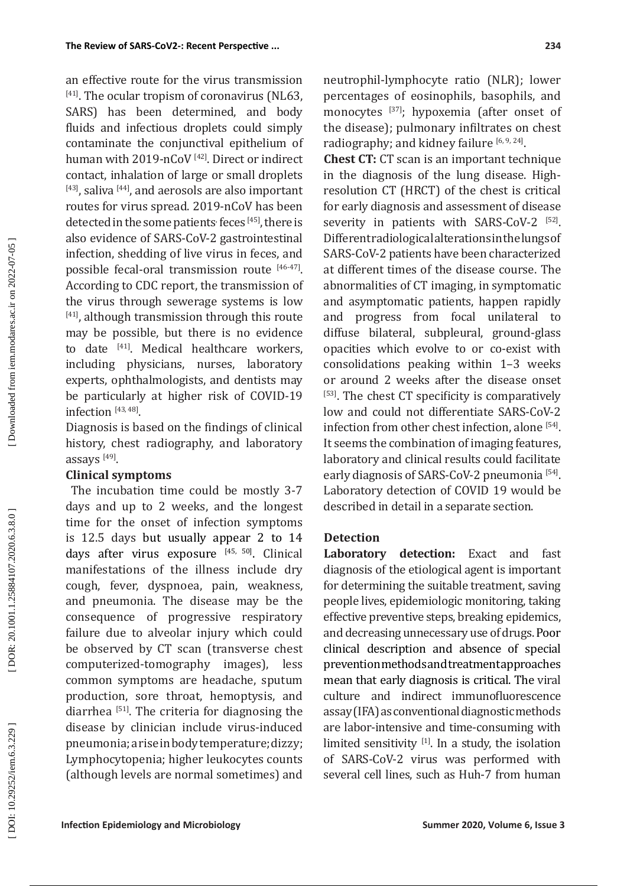an effective route for the virus transmission [41]. The ocular tropism of coronavirus (NL63, SARS) has been determined, and body fluids and infectious droplets could simply contaminate the conjunctival epithelium of human with 2019-nCoV<sup>[42]</sup>. Direct or indirect contact, inhalation of large or small droplets  $[43]$ , saliva  $[44]$ , and aerosols are also important routes for virus spread. 2019-nCoV has been detected in the some patients<sup>,</sup> feces  $[45]$ , there is also evidence of SARS-CoV-2 gastrointestinal infection, shedding of live virus in feces, and possible fecal-oral transmission route [46-47]. According to CDC report, the transmission of the virus through sewerage systems is low [41], although transmission through this route may be possible, but there is no evidence to date [41]. Medical healthcare workers, including physicians, nurses, laboratory experts, ophthalmologists, and dentists may be particularly at higher risk of COVID-19 infection [43, 48].

Diagnosis is based on the findings of clinical history, chest radiography, and laboratory assays  $^{[49]}$ .

### **Clinical symptoms**

The incubation time could be mostly 3-7 days and up to 2 weeks, and the longest time for the onset of infection symptoms is 12.5 days but usually appear 2 to 14 days after virus exposure [45, 50]. Clinical manifestations of the illness include dry cough, fever, dyspnoea, pain, weakness, and pneumonia. The disease may be the consequence of progressive respiratory failure due to alveolar injury which could be observed by CT scan (transverse chest computerized-tomography images), less common symptoms are headache, sputum production, sore throat, hemoptysis, and diarrhea [51]. The criteria for diagnosing the disease by clinician include virus-induced pneumonia; a rise in body temperature; dizzy; Lymphocytopenia; higher leukocytes counts (although levels are normal sometimes) and neutrophil-lymphocyte ratio (NLR); lower percentages of eosinophils, basophils, and monocytes [37]; hypoxemia (after onset of the disease); pulmonary infiltrates on chest radiography; and kidney failure  $[6, 9, 24]$ .

**Chest CT:** CT scan is an important technique in the diagnosis of the lung disease. Highresolution CT (HRCT) of the chest is critical for early diagnosis and assessment of disease severity in patients with SARS-CoV-2 [52]. Different radiological alterations in the lungs of SARS-CoV-2 patients have been characterized at different times of the disease course. The abnormalities of CT imaging, in symptomatic and asymptomatic patients, happen rapidly and progress from focal unilateral to diffuse bilateral, subpleural, ground-glass opacities which evolve to or co-exist with consolidations peaking within 1–3 weeks or around 2 weeks after the disease onset [53]. The chest CT specificity is comparatively low and could not differentiate SARS-CoV-2 infection from other chest infection, alone [54]. It seems the combination of imaging features, laboratory and clinical results could facilitate early diagnosis of SARS-CoV-2 pneumonia [54]. Laboratory detection of COVID 19 would be described in detail in a separate section.

## **Detection**

**Laboratory detection:** Exact and fast diagnosis of the etiological agent is important for determining the suitable treatment, saving people lives, epidemiologic monitoring, taking effective preventive steps, breaking epidemics, and decreasing unnecessary use of drugs. Poor clinical description and absence of special prevention methods and treatment approaches mean that early diagnosis is critical. The viral culture and indirect immunofluorescence assay (IFA) as conventional diagnostic methods are labor-intensive and time -consuming with limited sensitivity  $[1]$ . In a study, the isolation of SARS-CoV-2 virus was performed with several cell lines, such as Huh-7 from human

DOR: 20.1001.1.25884107.2020.6.3.8.0]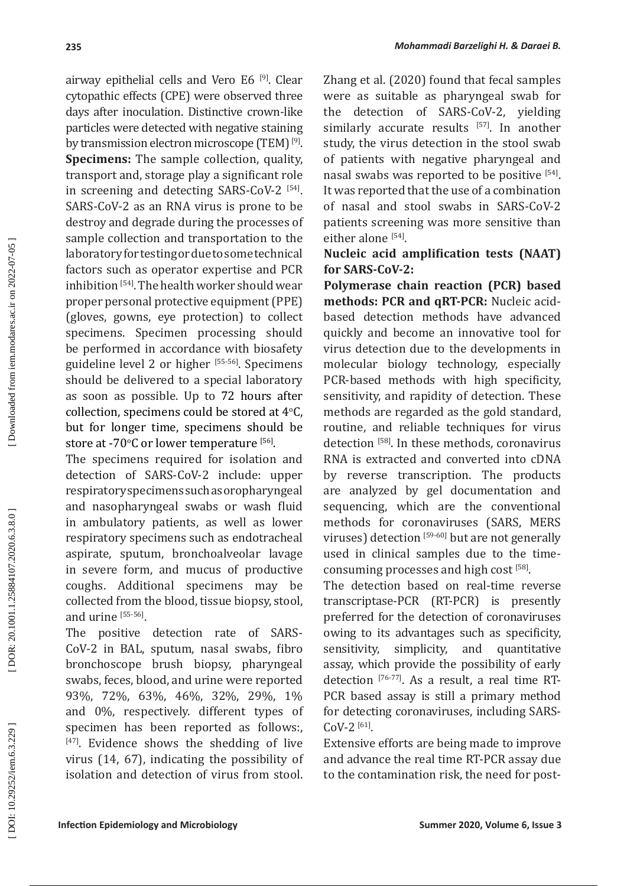airway epithelial cells and Vero E6 [9]. Clear cytopathic effects (CPE) were observed three days after inoculation. Distinctive crown-like particles were detected with negative staining by transmission electron microscope (TEM) [9]. **Specimens:** The sample collection, quality, transport and, storage play a significant role in screening and detecting SARS-CoV-2 [54]. SARS-CoV-2 as an RNA virus is prone to be destroy and degrade during the processes of sample collection and transportation to the laboratory for testing or due to some technical factors such as operator expertise and PCR inhibition<sup>[54]</sup>. The health worker should wear proper personal protective equipment (PPE) (gloves, gowns, eye protection) to collect specimens. Specimen processing should be performed in accordance with biosafety guideline level 2 or higher [55-56]. Specimens should be delivered to a special laboratory as soon as possible. Up to 72 hours after collection, specimens could be stored at  $4^{\circ}$ C, but for longer time, specimens should be store at -70°C or lower temperature  $^{[56]}$ .

The specimens required for isolation and detection of SARS-CoV-2 include: upper respiratory specimens such as oropharyngeal and nasopharyngeal swabs or wash fluid in ambulatory patients, as well as lower respiratory specimens such as endotracheal aspirate, sputum, bronchoalveolar lavage in severe form, and mucus of productive coughs. Additional specimens may be collected from the blood, tissue biopsy, stool, and urine [55-56].

The positive detection rate of SARS-CoV-2 in BAL, sputum, nasal swabs, fibro bronchoscope brush biopsy, pharyngeal swabs, feces, blood, and urine were reported 93%, 72%, 63%, 46%, 32%, 29%, 1% and 0%, respectively. different types of specimen has been reported as follows:,  $[47]$ . Evidence shows the shedding of live virus (14, 67), indicating the possibility of isolation and detection of virus from stool. Zhang et al. (2020) found that fecal samples were as suitable as pharyngeal swab for the detection of SARS-CoV-2, yielding similarly accurate results [57]. In another study, the virus detection in the stool swab of patients with negative pharyngeal and nasal swabs was reported to be positive [54]. It was reported that the use of a combination of nasal and stool swabs in SARS-CoV-2 patients screening was more sensitive than either alone [54].

# **Nucleic acid amplification tests (NAAT) for SARS-CoV-2:**

**Polymerase chain reaction (PCR) based methods: PCR and qRT-PCR:** Nucleic acidbased detection methods have advanced quickly and become an innovative tool for virus detection due to the developments in molecular biology technology, especially PCR-based methods with high specificity, sensitivity, and rapidity of detection. These methods are regarded as the gold standard, routine, and reliable techniques for virus detection [58]. In these methods, coronavirus RNA is extracted and converted into cDNA by reverse transcription. The products are analyzed by gel documentation and sequencing, which are the conventional methods for coronaviruses (SARS, MERS viruses) detection [59-60] but are not generally used in clinical samples due to the timeconsuming processes and high cost [58].

The detection based on real-time reverse transcriptase-PCR (RT-PCR) is presently preferred for the detection of coronaviruses owing to its advantages such as specificity, sensitivity, simplicity, and quantitative assay, which provide the possibility of early detection [76-77]. As a result, a real time RT-PCR based assay is still a primary method for detecting coronaviruses, including SARS- $Cov-2$  [61].

Extensive efforts are being made to improve and advance the real time RT-PCR assay due to the contamination risk, the need for post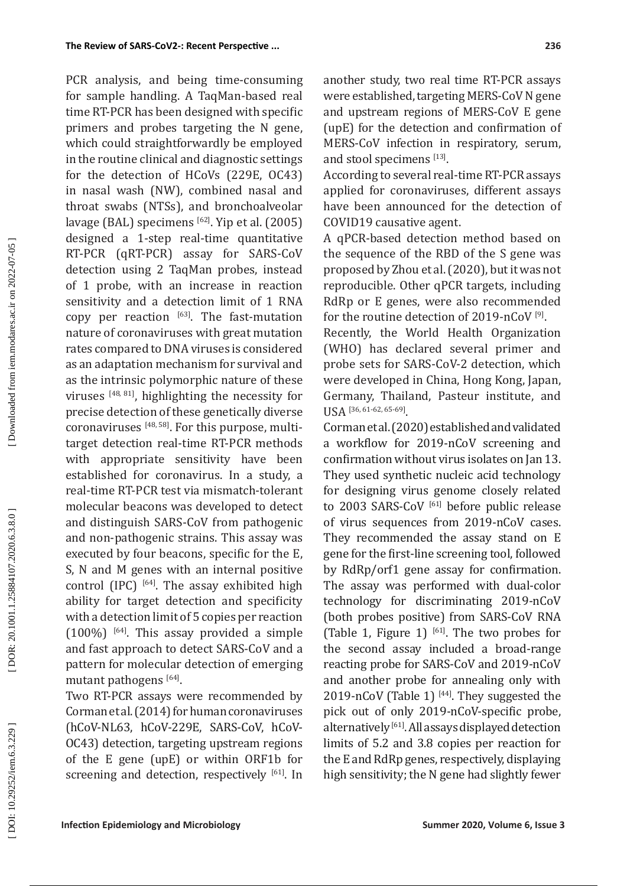PCR analysis, and being time-consuming for sample handling. A TaqMan-based real time RT-PCR has been designed with specific primers and probes targeting the N gene, which could straightforwardly be employed in the routine clinical and diagnostic settings for the detection of HCoVs (229E, OC43) in nasal wash (NW), combined nasal and throat swabs (NTSs), and bronchoalveolar lavage (BAL) specimens [62]. Yip et al. (2005) designed a 1-step real-time quantitative RT-PCR (qRT-PCR) assay for SARS-CoV detection using 2 TaqMan probes, instead of 1 probe, with an increase in reaction sensitivity and a detection limit of 1 RNA copy per reaction  $[63]$ . The fast-mutation nature of coronaviruses with great mutation rates compared to DNA viruses is considered as an adaptation mechanism for survival and as the intrinsic polymorphic nature of these viruses [48, 81], highlighting the necessity for precise detection of these genetically diverse coronaviruses [48, 58]. For this purpose, multitarget detection real-time RT-PCR methods with appropriate sensitivity have been established for coronavirus. In a study, a real-time RT-PCR test via mismatch-tolerant molecular beacons was developed to detect and distinguish SARS-CoV from pathogenic and non-pathogenic strains. This assay was executed by four beacons, specific for the E, S, N and M genes with an internal positive control (IPC)  $^{[64]}$ . The assay exhibited high ability for target detection and specificity with a detection limit of 5 copies per reaction  $(100\%)$  [64]. This assay provided a simple and fast approach to detect SARS-CoV and a pattern for molecular detection of emerging mutant pathogens <sup>[64]</sup>.

Two RT-PCR assays were recommended by Corman et al. (2014) for human coronaviruses (hCoV-NL63, hCoV-229E, SARS-CoV, hCoV-OC43) detection, targeting upstream regions of the E gene (upE) or within ORF1b for screening and detection, respectively [61]. In

another study, two real time RT-PCR assays were established, targeting MERS-CoV N gene and upstream regions of MERS-CoV E gene (upE) for the detection and confirmation of MERS-CoV infection in respiratory, serum, and stool specimens [13].

According to several real-time RT-PCR assays applied for coronaviruses, different assays have been announced for the detection of COVID19 causative agent.

A qPCR-based detection method based on the sequence of the RBD of the S gene was proposed by Zhou et al. (2020), but it was not reproducible. Other qPCR targets, including RdRp or E genes, were also recommended for the routine detection of 2019-nCoV [9].

Recently, the World Health Organization (WHO) has declared several primer and probe sets for SARS-CoV-2 detection, which were developed in China, Hong Kong, Japan, Germany, Thailand, Pasteur institute, and USA [36, 61-62, 65-69].

Corman et al. (2020) established and validated a workflow for 2019-nCoV screening and confirmation without virus isolates on Jan 13. They used synthetic nucleic acid technology for designing virus genome closely related to 2003 SARS-CoV<sup>[61]</sup> before public release of virus sequences from 2019-nCoV cases. They recommended the assay stand on E gene for the first-line screening tool, followed by RdRp/orf1 gene assay for confirmation. The assay was performed with dual-color technology for discriminating 2019-nCoV (both probes positive) from SARS-CoV RNA (Table 1, Figure 1)  $[61]$ . The two probes for the second assay included a broad-range reacting probe for SARS-CoV and 2019-nCoV and another probe for annealing only with 2019-nCoV (Table 1)<sup>[44]</sup>. They suggested the pick out of only 2019-nCoV-specific probe, alternatively [61]. All assays displayed detection limits of 5.2 and 3.8 copies per reaction for the E and RdRp genes, respectively, displaying high sensitivity; the N gene had slightly fewer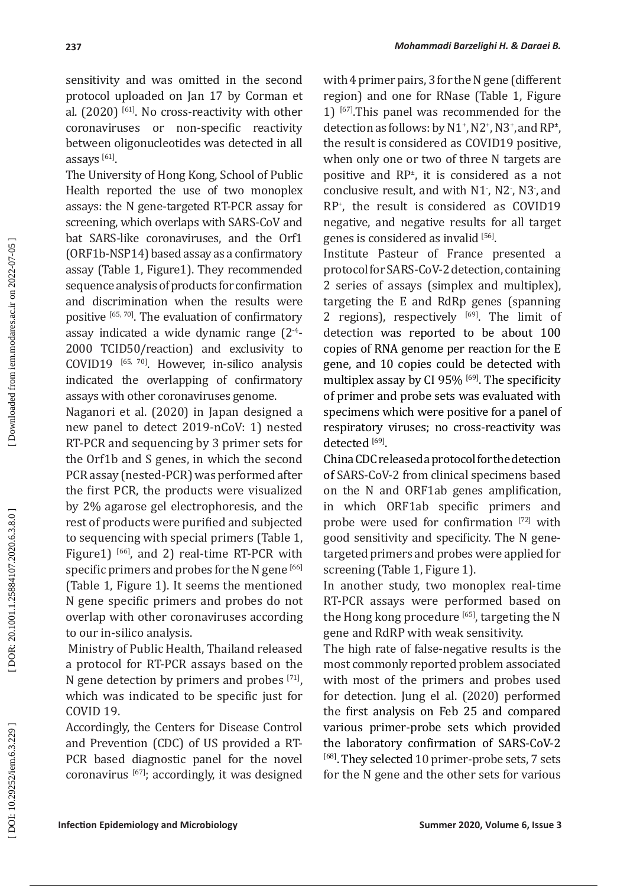sensitivity and was omitted in the second protocol uploaded on Jan 17 by Corman et al.  $(2020)$ <sup>[61]</sup>. No cross-reactivity with other coronaviruses or non-specific reactivity between oligonucleotides was detected in all assays [61].

The University of Hong Kong, School of Public Health reported the use of two monoplex assays: the N gene-targeted RT-PCR assay for screening, which overlaps with SARS-CoV and bat SARS-like coronaviruses, and the Orf1 (ORF1b-NSP14) based assay as a confirmatory assay (Table 1, Figure1). They recommended sequence analysis of products for confirmation and discrimination when the results were positive [65, 70]. The evaluation of confirmatory assay indicated a wide dynamic range (2-4 - 2000 TCID50/reaction) and exclusivity to COVID19 [65, 70]. However, in-silico analysis indicated the overlapping of confirmatory assays with other coronaviruses genome.

Naganori et al. (2020) in Japan designed a new panel to detect 2019-nCoV: 1) nested RT-PCR and sequencing by 3 primer sets for the Orf1b and S genes, in which the second PCR assay (nested-PCR) was performed after the first PCR, the products were visualized by 2% agarose gel electrophoresis, and the rest of products were purified and subjected to sequencing with special primers (Table 1, Figure1)<sup>[66]</sup>, and 2) real-time RT-PCR with specific primers and probes for the N gene [66] (Table 1, Figure 1). It seems the mentioned N gene specific primers and probes do not overlap with other coronaviruses according to our in-silico analysis.

 Ministry of Public Health, Thailand released a protocol for RT-PCR assays based on the N gene detection by primers and probes [71], which was indicated to be specific just for COVID 19.

Accordingly, the Centers for Disease Control and Prevention (CDC) of US provided a RT-PCR based diagnostic panel for the novel coronavirus [67]; accordingly, it was designed with 4 primer pairs, 3 for the N gene (different region) and one for RNase (Table 1, Figure 1) [67].This panel was recommended for the detection as follows: by  $N1^*$ ,  $N2^*$ ,  $N3^*$ , and  $RP^*$ , the result is considered as COVID19 positive, when only one or two of three N targets are positive and RP ± , it is considered as a not conclusive result, and with  $N1$ ,  $N2$ ,  $N3$ , and RP + , the result is considered as COVID19 negative, and negative results for all target genes is considered as invalid  $[56]$ .

Institute Pasteur of France presented a protocol for SARS-CoV-2 detection, containing 2 series of assays (simplex and multiplex), targeting the E and RdRp genes (spanning 2 regions), respectively  $[69]$ . The limit of detection was reported to be about 100 copies of RNA genome per reaction for the E gene, and 10 copies could be detected with multiplex assay by CI 95% [69]. The specificity of primer and probe sets was evaluated with specimens which were positive for a panel of respiratory viruses; no cross-reactivity was detected  $^{[69]}$ .

China CDC released a protocol for the detection of SARS-CoV-2 from clinical specimens based on the N and ORF1ab genes amplification, in which ORF1ab specific primers and probe were used for confirmation [72] with good sensitivity and specificity. The N genetargeted primers and probes were applied for screening (Table 1, Figure 1).

In another study, two monoplex real-time RT-PCR assays were performed based on the Hong kong procedure  $[65]$ , targeting the N gene and RdRP with weak sensitivity.

The high rate of false-negative results is the most commonly reported problem associated with most of the primers and probes used for detection. Jung el al. (2020) performed the first analysis on Feb 25 and compared various primer-probe sets which provided the laboratory confirmation of SARS-CoV-2 [68]. They selected 10 primer-probe sets, 7 sets for the N gene and the other sets for various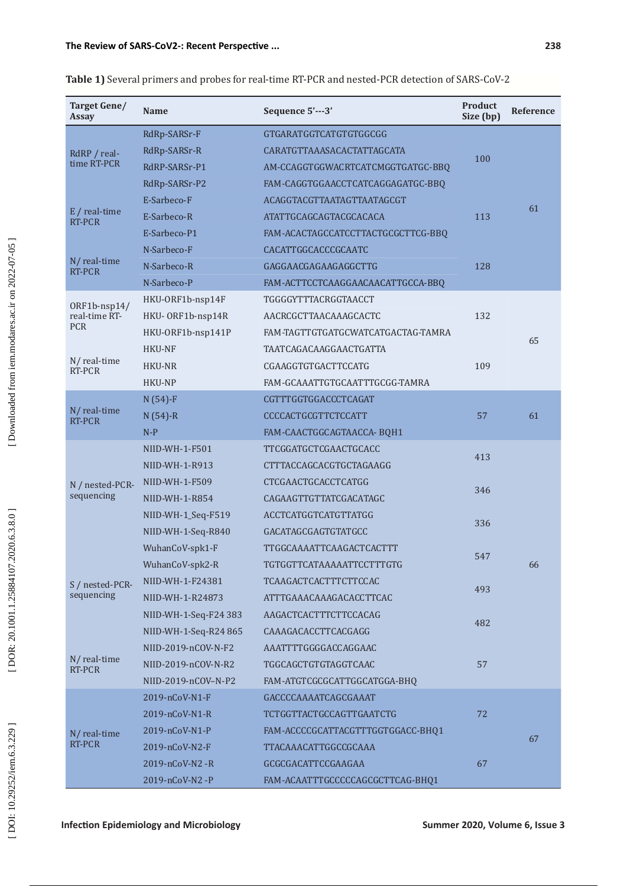#### **The Review of SARS-CoV 2 -: Recent Perspective ...**

| Target Gene/<br><b>Assay</b>  | <b>Name</b>           | Sequence 5'---3'                   | <b>Product</b><br>Size (bp) | Reference |
|-------------------------------|-----------------------|------------------------------------|-----------------------------|-----------|
| RdRP / real-<br>time RT-PCR   | RdRp-SARSr-F          | GTGARATGGTCATGTGTGGCGG             | 100                         | 61        |
|                               | RdRp-SARSr-R          | CARATGTTAAASACACTATTAGCATA         |                             |           |
|                               | RdRP-SARSr-P1         | AM-CCAGGTGGWACRTCATCMGGTGATGC-BBQ  |                             |           |
| $E / real-time$<br>RT-PCR     | RdRp-SARSr-P2         | FAM-CAGGTGGAACCTCATCAGGAGATGC-BBQ  | 113                         |           |
|                               | E-Sarbeco-F           | ACAGGTACGTTAATAGTTAATAGCGT         |                             |           |
|                               | E-Sarbeco-R           | ATATTGCAGCAGTACGCACACA             |                             |           |
|                               | E-Sarbeco-P1          | FAM-ACACTAGCCATCCTTACTGCGCTTCG-BBQ |                             |           |
| N/real-time<br>RT-PCR         | N-Sarbeco-F           | CACATTGGCACCCGCAATC                | 128                         |           |
|                               | N-Sarbeco-R           | GAGGAACGAGAAGAGGCTTG               |                             |           |
|                               | N-Sarbeco-P           | FAM-ACTTCCTCAAGGAACAACATTGCCA-BBQ  |                             |           |
| ORF1b-nsp14/<br>real-time RT- | HKU-ORF1b-nsp14F      | TGGGGYTTTACRGGTAACCT               | 132                         | 65        |
|                               | HKU-ORF1b-nsp14R      | AACRCGCTTAACAAAGCACTC              |                             |           |
| <b>PCR</b>                    | HKU-ORF1b-nsp141P     | FAM-TAGTTGTGATGCWATCATGACTAG-TAMRA |                             |           |
|                               | <b>HKU-NF</b>         | TAATCAGACAAGGAACTGATTA             | 109                         |           |
| $N/$ real-time<br>RT-PCR      | HKU-NR                | CGAAGGTGTGACTTCCATG                |                             |           |
|                               | HKU-NP                | FAM-GCAAATTGTGCAATTTGCGG-TAMRA     |                             |           |
|                               | $N(54) - F$           | CGTTTGGTGGACCCTCAGAT               | 57                          | 61        |
| N/real-time<br>RT-PCR         | $N(54)-R$             | CCCCACTGCGTTCTCCATT                |                             |           |
|                               | $N-P$                 | FAM-CAACTGGCAGTAACCA-BQH1          |                             |           |
|                               | NIID-WH-1-F501        | TTCGGATGCTCGAACTGCACC              | 413                         | 66        |
|                               | NIID-WH-1-R913        | CTTTACCAGCACGTGCTAGAAGG            |                             |           |
| N / nested-PCR-               | NIID-WH-1-F509        | CTCGAACTGCACCTCATGG                | 346                         |           |
| sequencing                    | NIID-WH-1-R854        | CAGAAGTTGTTATCGACATAGC             |                             |           |
|                               | NIID-WH-1_Seq-F519    | ACCTCATGGTCATGTTATGG               | 336                         |           |
|                               | NIID-WH-1-Seq-R840    | GACATAGCGAGTGTATGCC                |                             |           |
| S / nested-PCR-               | WuhanCoV-spk1-F       | TTGGCAAAATTCAAGACTCACTTT           | 547                         |           |
|                               | WuhanCoV-spk2-R       | TGTGGTTCATAAAAATTCCTTTGTG          |                             |           |
|                               | NIID-WH-1-F24381      | <b>TCAAGACTCACTTTCTTCCAC</b>       | 493                         |           |
| sequencing                    | NIID-WH-1-R24873      | ATTTGAAACAAAGACACCTTCAC            |                             |           |
|                               | NIID-WH-1-Seq-F24 383 | AAGACTCACTTTCTTCCACAG              | 482                         |           |
|                               | NIID-WH-1-Seq-R24 865 | CAAAGACACCTTCACGAGG                |                             |           |
| N/real-time<br>RT-PCR         | NIID-2019-nCOV-N-F2   | AAATTTTGGGGACCAGGAAC               | 57                          |           |
|                               | NIID-2019-nCOV-N-R2   | TGGCAGCTGTGTAGGTCAAC               |                             |           |
|                               | NIID-2019-nCOV-N-P2   | FAM-ATGTCGCGCATTGGCATGGA-BHQ       |                             |           |
| N/ real-time<br>RT-PCR        | $2019 - nCoV-N1-F$    | GACCCCAAAATCAGCGAAAT               | 72                          | 67        |
|                               | $2019 - nCoV-N1-R$    | <b>TCTGGTTACTGCCAGTTGAATCTG</b>    |                             |           |
|                               | 2019-nCoV-N1-P        | FAM-ACCCCGCATTACGTTTGGTGGACC-BHQ1  |                             |           |
|                               | $2019 - nCoV-N2-F$    | TTACAAACATTGGCCGCAAA               |                             |           |
|                               | 2019-nCoV-N2-R        | GCGCGACATTCCGAAGAA                 | 67                          |           |

2019-nCoV-N2 -P FAM-ACAATTTGCCCCCAGCGCTTCAG-BHQ1

**Table 1)** Several primers and probes for real-time RT-PCR and nested-PCR detection of SARS-CoV-2

[DOI: 10.29252/iem.6.3.229]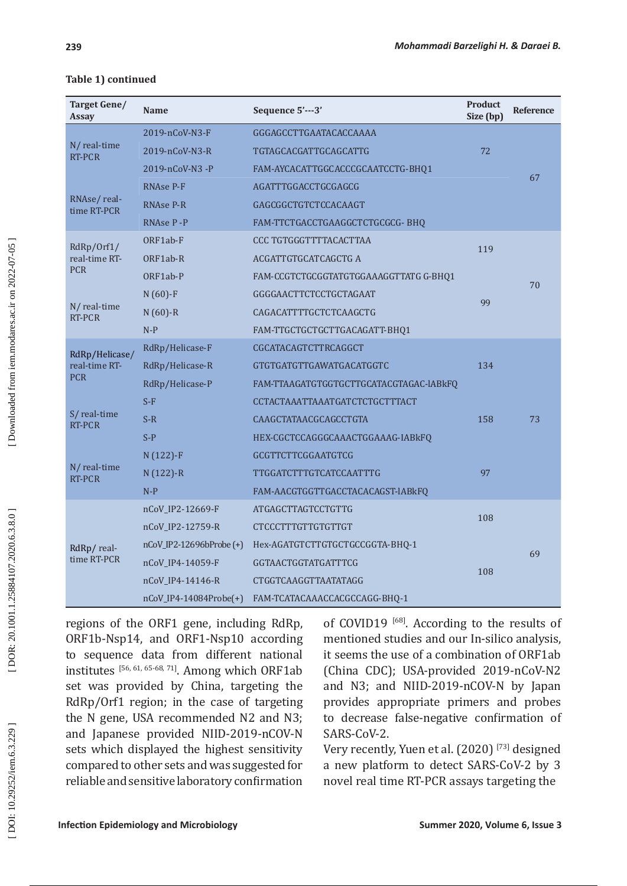| Target Gene/<br><b>Assay</b>                  | <b>Name</b>               | Sequence 5'---3'                        | <b>Product</b><br>Size (bp) | Reference |
|-----------------------------------------------|---------------------------|-----------------------------------------|-----------------------------|-----------|
| N/real-time<br>RT-PCR                         | 2019-nCoV-N3-F            | GGGAGCCTTGAATACACCAAAA                  | 72                          |           |
|                                               | 2019-nCoV-N3-R            | TGTAGCACGATTGCAGCATTG                   |                             |           |
|                                               | 2019-nCoV-N3-P            | FAM-AYCACATTGGCACCCGCAATCCTG-BHQ1       |                             |           |
| RNAse/real-<br>time RT-PCR                    | RNAse P-F                 | AGATTTGGACCTGCGAGCG                     |                             | 67        |
|                                               | <b>RNAse P-R</b>          | GAGCGGCTGTCTCCACAAGT                    |                             |           |
|                                               | RNAse P-P                 | FAM-TTCTGACCTGAAGGCTCTGCGCG-BHQ         |                             |           |
| RdRp/Orf1/<br>real-time RT-<br><b>PCR</b>     | ORF1ab-F                  | CCC TGTGGGTTTTACACTTAA                  | 119                         |           |
|                                               | ORF1ab-R                  | ACGATTGTGCATCAGCTG A                    |                             |           |
|                                               | ORF1ab-P                  | FAM-CCGTCTGCGGTATGTGGAAAGGTTATG G-BHQ1  |                             |           |
| N/real-time<br>RT-PCR                         | $N(60)$ -F                | GGGGAACTTCTCCTGCTAGAAT                  | 99                          | 70        |
|                                               | $N(60) - R$               | CAGACATTTTGCTCTCAAGCTG                  |                             |           |
|                                               | $N-P$                     | FAM-TTGCTGCTGCTTGACAGATT-BHQ1           |                             |           |
| RdRp/Helicase/<br>real-time RT-<br><b>PCR</b> | RdRp/Helicase-F           | CGCATACAGTCTTRCAGGCT                    | 134                         | 73        |
|                                               | RdRp/Helicase-R           | GTGTGATGTTGAWATGACATGGTC                |                             |           |
|                                               | RdRp/Helicase-P           | FAM-TTAAGATGTGGTGCTTGCATACGTAGAC-IABkFQ |                             |           |
| S/ real-time<br>RT-PCR                        | $S-F$                     | CCTACTAAATTAAATGATCTCTGCTTTACT          | 158                         |           |
|                                               | $S-R$                     | CAAGCTATAACGCAGCCTGTA                   |                             |           |
|                                               | $S-P$                     | HEX-CGCTCCAGGGCAAACTGGAAAG-IABkFQ       |                             |           |
| N/real-time<br>RT-PCR                         | $N(122) - F$              | GCGTTCTTCGGAATGTCG                      |                             |           |
|                                               | $N(122) - R$              | <b>TTGGATCTTTGTCATCCAATTTG</b>          | 97                          |           |
|                                               | $N-P$                     | FAM-AACGTGGTTGACCTACACAGST-IABkFQ       |                             |           |
| RdRp/real-<br>time RT-PCR                     | nCoV_IP2-12669-F          | <b>ATGAGCTTAGTCCTGTTG</b>               | 108                         |           |
|                                               | nCoV_IP2-12759-R          | CTCCCTTTGTTGTGTTGT                      |                             |           |
|                                               | nCoV_IP2-12696bProbe(+)   | Hex-AGATGTCTTGTGCTGCCGGTA-BHQ-1         |                             |           |
|                                               | nCoV_IP4-14059-F          | GGTAACTGGTATGATTTCG                     | 108                         | 69        |
|                                               | nCoV_IP4-14146-R          | <b>CTGGTCAAGGTTAATATAGG</b>             |                             |           |
|                                               | $nCoV$ _IP4-14084Probe(+) | FAM-TCATACAAACCACGCCAGG-BHQ-1           |                             |           |

### **Table 1) continued**

regions of the ORF1 gene, including RdRp, ORF1b-Nsp14, and ORF1-Nsp10 according to sequence data from different national institutes [56, 61, 65-68, 71]. Among which ORF1ab set was provided by China, targeting the RdRp/Orf1 region; in the case of targeting the N gene, USA recommended N2 and N3; and Japanese provided NIID-2019-nCOV-N sets which displayed the highest sensitivity compared to other sets and was suggested for reliable and sensitive laboratory confirmation

of COVID19<sup>[68]</sup>. According to the results of mentioned studies and our In-silico analysis, it seems the use of a combination of ORF1ab (China CDC); USA-provided 2019-nCoV-N2 and N3; and NIID-2019-nCOV-N by Japan provides appropriate primers and probes to decrease false-negative confirmation of SARS-CoV-2.

Very recently, Yuen et al. (2020)<sup>[73]</sup> designed a new platform to detect SARS-CoV-2 by 3 novel real time RT-PCR assays targeting the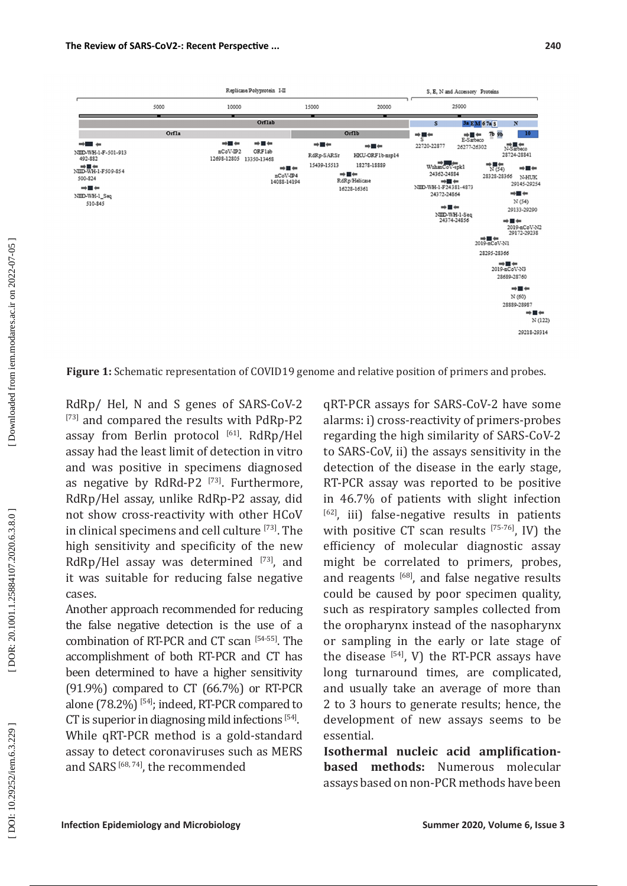

**Figure 1:** Schematic representation of COVID19 genome and relative position of primers and probes.

RdRp/ Hel, N and S genes of SARS-CoV-2 [73] and compared the results with PdRp-P2 assay from Berlin protocol [61]. RdRp/Hel assay had the least limit of detection in vitro and was positive in specimens diagnosed as negative by RdRd-P2<sup>[73]</sup>. Furthermore, RdRp/Hel assay, unlike RdRp-P2 assay, did not show cross-reactivity with other HCoV in clinical specimens and cell culture [73]. The high sensitivity and specificity of the new RdRp/Hel assay was determined  $[73]$ , and it was suitable for reducing false negative cases.

Another approach recommended for reducing the false negative detection is the use of a combination of RT-PCR and CT scan [54-55]. The accomplishment of both RT-PCR and CT has been determined to have a higher sensitivity (91.9%) compared to CT (66.7%) or RT-PCR alone (78.2%) [54]; indeed, RT-PCR compared to CT is superior in diagnosing mild infections  $[54]$ . While qRT-PCR method is a gold-standard assay to detect coronaviruses such as MERS and SARS [68, 74], the recommended

qRT-PCR assays for SARS-CoV-2 have some alarms: i) cross-reactivity of primers-probes regarding the high similarity of SARS-CoV-2 to SARS-CoV, ii) the assays sensitivity in the detection of the disease in the early stage, RT-PCR assay was reported to be positive in 46.7% of patients with slight infection [62], iii) false-negative results in patients with positive CT scan results  $[75-76]$ , IV) the efficiency of molecular diagnostic assay might be correlated to primers, probes, and reagents [68], and false negative results could be caused by poor specimen quality, such as respiratory samples collected from the oropharynx instead of the nasopharynx or sampling in the early or late stage of the disease  $[54]$ , V) the RT-PCR assays have long turnaround times, are complicated, and usually take an average of more than 2 to 3 hours to generate results; hence, the development of new assays seems to be essential.

**Isothermal nucleic acid amplificationbased methods:** Numerous molecular assays based on non-PCR methods have been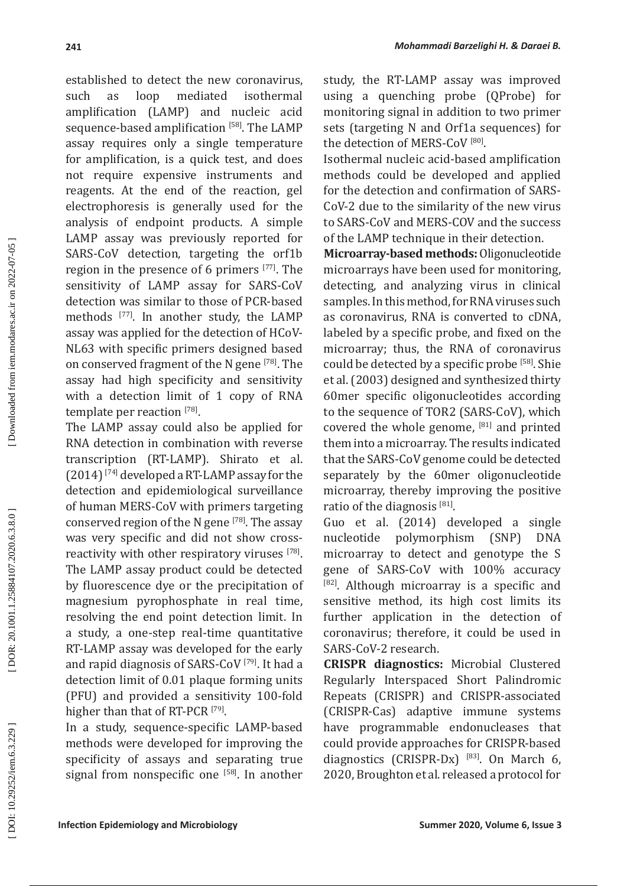established to detect the new coronavirus, such as loop mediated isothermal amplification (LAMP) and nucleic acid sequence-based amplification [58]. The LAMP assay requires only a single temperature for amplification, is a quick test, and does not require expensive instruments and reagents. At the end of the reaction, gel electrophoresis is generally used for the analysis of endpoint products. A simple LAMP assay was previously reported for SARS-CoV detection, targeting the orf1b region in the presence of 6 primers [77]. The sensitivity of LAMP assay for SARS-CoV detection was similar to those of PCR-based methods [77]. In another study, the LAMP assay was applied for the detection of HCoV-NL63 with specific primers designed based on conserved fragment of the N gene [78]. The assay had high specificity and sensitivity with a detection limit of 1 copy of RNA template per reaction [78].

The LAMP assay could also be applied for RNA detection in combination with reverse transcription (RT-LAMP). Shirato et al. (2014) [74] developed a RT-LAMP assay for the detection and epidemiological surveillance of human MERS-CoV with primers targeting conserved region of the N gene [78]. The assay was very specific and did not show crossreactivity with other respiratory viruses [78]. The LAMP assay product could be detected by fluorescence dye or the precipitation of magnesium pyrophosphate in real time, resolving the end point detection limit. In a study, a one-step real-time quantitative RT-LAMP assay was developed for the early and rapid diagnosis of SARS-CoV [79]. It had a detection limit of 0.01 plaque forming units (PFU) and provided a sensitivity 100-fold higher than that of RT-PCR<sup>[79]</sup>.

In a study, sequence-specific LAMP-based methods were developed for improving the specificity of assays and separating true signal from nonspecific one  $[58]$ . In another study, the RT-LAMP assay was improved using a quenching probe (QProbe) for monitoring signal in addition to two primer sets (targeting N and Orf1a sequences) for the detection of MERS-CoV  $[80]$ .

Isothermal nucleic acid-based amplification methods could be developed and applied for the detection and confirmation of SARS-CoV-2 due to the similarity of the new virus to SARS-CoV and MERS-COV and the success of the LAMP technique in their detection.

**Microarray-based methods:** Oligonucleotide microarrays have been used for monitoring, detecting, and analyzing virus in clinical samples. In this method, for RNA viruses such as coronavirus, RNA is converted to cDNA, labeled by a specific probe, and fixed on the microarray; thus, the RNA of coronavirus could be detected by a specific probe [58]. Shie et al. (2003) designed and synthesized thirty 60mer specific oligonucleotides according to the sequence of TOR2 (SARS-CoV), which covered the whole genome, [81] and printed them into a microarray. The results indicated that the SARS-CoV genome could be detected separately by the 60mer oligonucleotide microarray, thereby improving the positive ratio of the diagnosis  $[81]$ .

Guo et al. (2014) developed a single nucleotide polymorphism (SNP) DNA microarray to detect and genotype the S gene of SARS-CoV with 100% accuracy [82]. Although microarray is a specific and sensitive method, its high cost limits its further application in the detection of coronavirus; therefore, it could be used in SARS-CoV-2 research.

**CRISPR diagnostics:** Microbial Clustered Regularly Interspaced Short Palindromic Repeats (CRISPR) and CRISPR-associated (CRISPR-Cas) adaptive immune systems have programmable endonucleases that could provide approaches for CRISPR-based diagnostics (CRISPR-Dx)  $^{[83]}$ . On March 6, 2020, Broughton et al. released a protocol for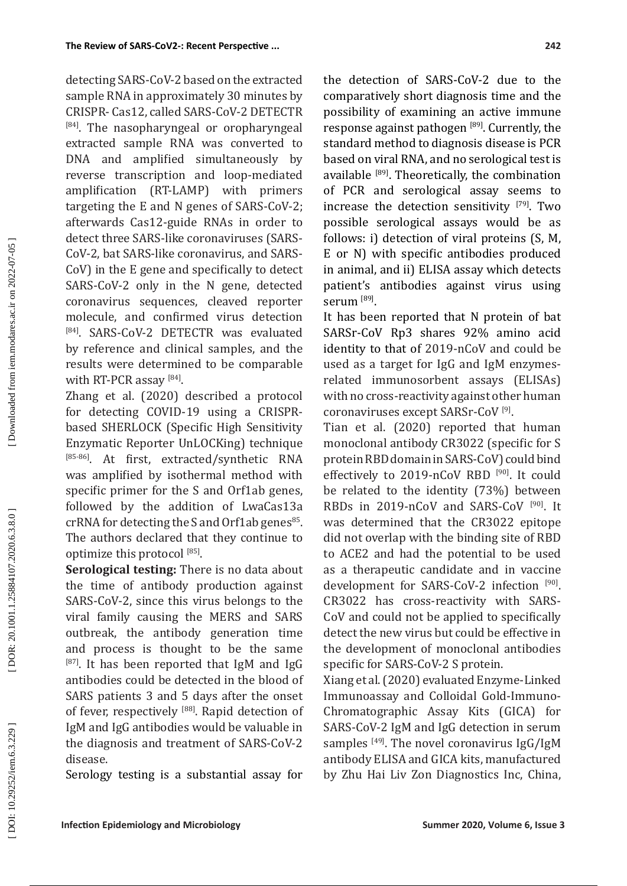detecting SARS-CoV-2 based on the extracted sample RNA in approximately 30 minutes by CRISPR- Cas12, called SARS-CoV-2 DETECTR [84]. The nasopharyngeal or oropharyngeal extracted sample RNA was converted to DNA and amplified simultaneously by reverse transcription and loop-mediated amplification (RT-LAMP) with primers targeting the E and N genes of SARS-CoV-2; afterwards Cas12-guide RNAs in order to detect three SARS-like coronaviruses (SARS-CoV-2, bat SARS-like coronavirus, and SARS-CoV) in the E gene and specifically to detect SARS-CoV-2 only in the N gene, detected coronavirus sequences, cleaved reporter molecule, and confirmed virus detection [84]. SARS-CoV-2 DETECTR was evaluated by reference and clinical samples, and the results were determined to be comparable with RT-PCR assay [84].

Zhang et al. (2020) described a protocol for detecting COVID-19 using a CRISPRbased SHERLOCK (Specific High Sensitivity Enzymatic Reporter UnLOCKing) technique [85-86]. At first, extracted/synthetic RNA was amplified by isothermal method with specific primer for the S and Orf1ab genes, followed by the addition of LwaCas13a crRNA for detecting the S and Orf1ab genes<sup>85</sup>. The authors declared that they continue to optimize this protocol  $[85]$ .

**Serological testing:** There is no data about the time of antibody production against SARS-CoV-2, since this virus belongs to the viral family causing the MERS and SARS outbreak, the antibody generation time and process is thought to be the same  $[87]$ . It has been reported that IgM and IgG antibodies could be detected in the blood of SARS patients 3 and 5 days after the onset of fever, respectively [88]. Rapid detection of IgM and IgG antibodies would be valuable in the diagnosis and treatment of SARS-CoV-2 disease.

Serology testing is a substantial assay for

the detection of SARS-CoV-2 due to the comparatively short diagnosis time and the possibility of examining an active immune response against pathogen [89]. Currently, the standard method to diagnosis disease is PCR based on viral RNA, and no serological test is available [89]. Theoretically, the combination of PCR and serological assay seems to increase the detection sensitivity  $[79]$ . Two possible serological assays would be as follows: i) detection of viral proteins (S, M, E or N) with specific antibodies produced in animal, and ii) ELISA assay which detects patient's antibodies against virus using serum<sup>[89]</sup>.

It has been reported that N protein of bat SARSr-CoV Rp3 shares 92% amino acid identity to that of 2019-nCoV and could be used as a target for IgG and IgM enzymesrelated immunosorbent assays (ELISAs) with no cross-reactivity against other human coronaviruses except SARSr-CoV [9] .

Tian et al. (2020) reported that human monoclonal antibody CR3022 (specific for S protein RBD domain in SARS-CoV) could bind effectively to 2019-nCoV RBD<sup>[90]</sup>. It could be related to the identity (73%) between RBDs in 2019-nCoV and SARS-CoV [90]. It was determined that the CR3022 epitope did not overlap with the binding site of RBD to ACE2 and had the potential to be used as a therapeutic candidate and in vaccine development for SARS-CoV-2 infection [90]. CR3022 has cross-reactivity with SARS-CoV and could not be applied to specifically detect the new virus but could be effective in the development of monoclonal antibodies specific for SARS-CoV-2 S protein.

Xiang et al. (2020) evaluated Enzyme-Linked Immunoassay and Colloidal Gold-Immuno-Chromatographic Assay Kits (GICA) for SARS-CoV-2 IgM and IgG detection in serum samples  $[49]$ . The novel coronavirus IgG/IgM antibody ELISA and GICA kits, manufactured by Zhu Hai Liv Zon Diagnostics Inc, China,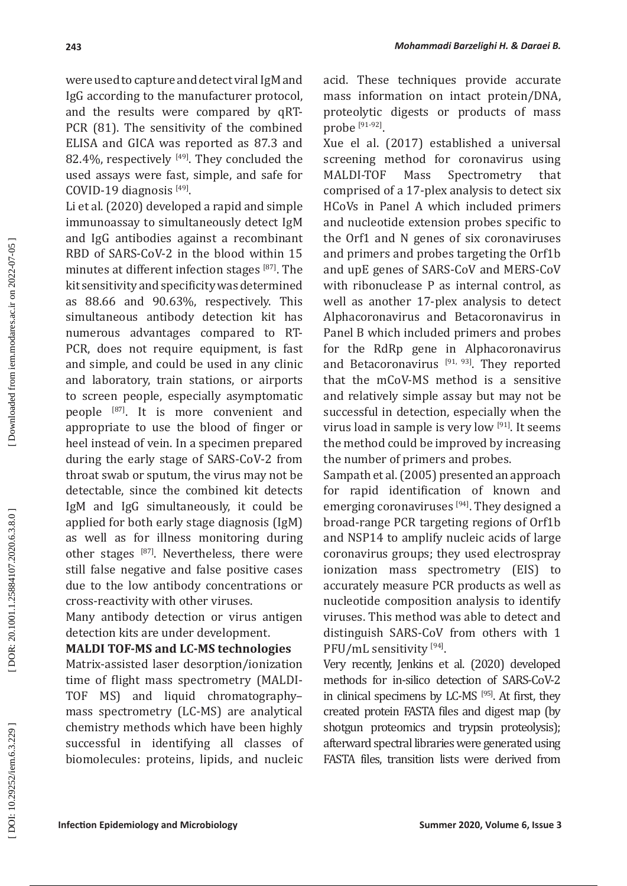were used to capture and detect viral IgM and IgG according to the manufacturer protocol, and the results were compared by qRT-PCR (81). The sensitivity of the combined ELISA and GICA was reported as 87.3 and 82.4%, respectively  $[49]$ . They concluded the used assays were fast, simple, and safe for COVID-19 diagnosis [49].

Li et al. (2020) developed a rapid and simple immunoassay to simultaneously detect IgM and IgG antibodies against a recombinant RBD of SARS-CoV-2 in the blood within 15 minutes at different infection stages [87]. The kit sensitivity and specificity was determined as 88.66 and 90.63%, respectively. This simultaneous antibody detection kit has numerous advantages compared to RT-PCR, does not require equipment, is fast and simple, and could be used in any clinic and laboratory, train stations, or airports to screen people, especially asymptomatic people [87]. It is more convenient and appropriate to use the blood of finger or heel instead of vein. In a specimen prepared during the early stage of SARS-CoV -2 from throat swab or sputum, the virus may not be detectable, since the combined kit detects IgM and IgG simultaneously, it could be applied for both early stage diagnosis (IgM) as well as for illness monitoring during other stages [87]. Nevertheless, there were still false negative and false positive cases due to the low antibody concentrations or cross-reactivity with other viruses.

Many antibody detection or virus antigen detection kits are under development.

### **MALDI TOF-MS and LC-MS technologies**

Matrix-assisted laser desorption/ionization time of flight mass spectrometry (MALDI-TOF MS) and liquid chromatography– mass spectrometry (LC-MS) are analytical chemistry methods which have been highly successful in identifying all classes of biomolecules: proteins, lipids, and nucleic acid. These techniques provide accurate mass information on intact protein/DNA, proteolytic digests or products of mass  $probe$ <sup>[91-92]</sup>.

Xue el al. (2017) established a universal screening method for coronavirus using MALDI-TOF Mass Spectrometry that comprised of a 17-plex analysis to detect six HCoVs in Panel A which included primers and nucleotide extension probes specific to the Orf1 and N genes of six coronaviruses and primers and probes targeting the Orf1b and upE genes of SARS-CoV and MERS-CoV with ribonuclease P as internal control, as well as another 17-plex analysis to detect Alphacoronavirus and Betacoronavirus in Panel B which included primers and probes for the RdRp gene in Alphacoronavirus and Betacoronavirus  $[91, 93]$ . They reported that the mCoV-MS method is a sensitive and relatively simple assay but may not be successful in detection, especially when the virus load in sample is very low [91]. It seems the method could be improved by increasing the number of primers and probes.

Sampath et al. (2005) presented an approach for rapid identification of known and emerging coronaviruses<sup>[94]</sup>. They designed a broad-range PCR targeting regions of Orf1b and NSP14 to amplify nucleic acids of large coronavirus groups; they used electrospray ionization mass spectrometry (EIS) to accurately measure PCR products as well as nucleotide composition analysis to identify viruses. This method was able to detect and distinguish SARS-CoV from others with 1 PFU/mL sensitivity [94].

Very recently, Jenkins et al. (2020) developed methods for in-silico detection of SARS-CoV-2 in clinical specimens by LC-MS [95]. At first, they created protein FASTA files and digest map (by shotgun proteomics and trypsin proteolysis); afterward spectral libraries were generated using FASTA files, transition lists were derived from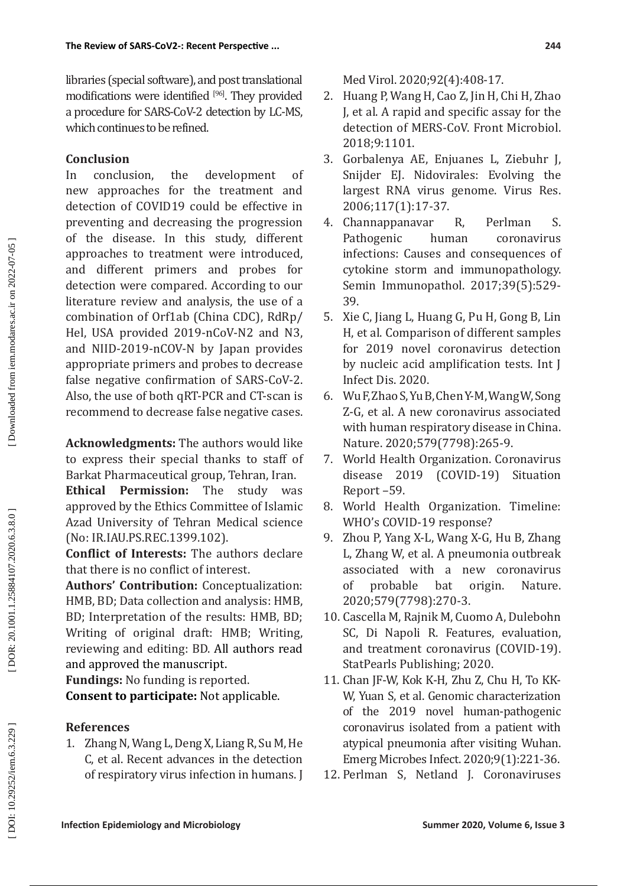libraries (special software), and post translational modifications were identified [96]. They provided a procedure for SARS-CoV-2 detection by LC-MS, which continues to be refined.

# **Conclusion**

In conclusion, the development of new approaches for the treatment and detection of COVID19 could be effective in preventing and decreasing the progression of the disease. In this study, different approaches to treatment were introduced, and different primers and probes for detection were compared. According to our literature review and analysis, the use of a combination of Orf1ab (China CDC), RdRp/ Hel, USA provided 2019-nCoV-N2 and N3, and NIID-2019-nCOV-N by Japan provides appropriate primers and probes to decrease false negative confirmation of SARS-CoV-2. Also, the use of both qRT-PCR and CT-scan is recommend to decrease false negative cases.

**Acknowledgments:** The authors would like to express their special thanks to staff of

Barkat Pharmaceutical group, Tehran, Iran.<br>**Ethical Permission:** The study was **Permission:** The approved by the Ethics Committee of Islamic Azad University of Tehran Medical science (No: IR.IAU.PS.REC.1399.102).

**Conflict of Interests:** The authors declare that there is no conflict of interest.

**Authors' Contribution:** Conceptualization: HMB, BD; Data collection and analysis: HMB, BD; Interpretation of the results: HMB, BD; Writing of original draft: HMB; Writing, reviewing and editing: BD. All authors read and approved the manuscript.

**Fundings:** No funding is reported. **Consent to participate:** Not applicable.

# **References**

1. Zhang N, Wang L, Deng X, Liang R, Su M, He C, et al. Recent advances in the detection of respiratory virus infection in humans. J Med Virol. 2020;92(4):408-17.

- 2. Huang P, Wang H, Cao Z, Jin H, Chi H, Zhao J, et al. A rapid and specific assay for the detection of MERS-CoV. Front Microbiol. 2018;9:1101.
- 3. Gorbalenya AE, Enjuanes L, Ziebuhr J, Snijder EJ. Nidovirales: Evolving the largest RNA virus genome. Virus Res. 2006;117(1):17-37.
- 4. Channappanavar R, Perlman S. Pathogenic human coronavirus infections: Causes and consequences of cytokine storm and immunopathology. Semin Immunopathol. 2017;39(5):529- 39.
- 5. Xie C, Jiang L, Huang G, Pu H, Gong B, Lin H, et al. Comparison of different samples for 2019 novel coronavirus detection by nucleic acid amplification tests. Int J Infect Dis. 2020.
- 6. Wu F, Zhao S, Yu B, Chen Y-M, Wang W, Song Z-G, et al. A new coronavirus associated with human respiratory disease in China. Nature. 2020;579(7798):265-9.
- 7. World Health Organization. Coronavirus disease 2019 (COVID-19) Situation Report –59.
- 8. World Health Organization. Timeline: WHO's COVID-19 response?
- 9. Zhou P, Yang X-L, Wang X-G, Hu B, Zhang L, Zhang W, et al. A pneumonia outbreak associated with a new coronavirus<br>of probable bat origin. Nature. of probable bat origin. Nature. 2020;579(7798):270-3.
- 10. Cascella M, Rajnik M, Cuomo A, Dulebohn SC, Di Napoli R. Features, evaluation, and treatment coronavirus (COVID-19). StatPearls Publishing; 2020.
- 11. Chan JF-W, Kok K-H, Zhu Z, Chu H, To KK-W, Yuan S, et al. Genomic characterization of the 2019 novel human-pathogenic coronavirus isolated from a patient with atypical pneumonia after visiting Wuhan. Emerg Microbes Infect. 2020;9(1):221-36.
- 12. Perlman S, Netland J. Coronaviruses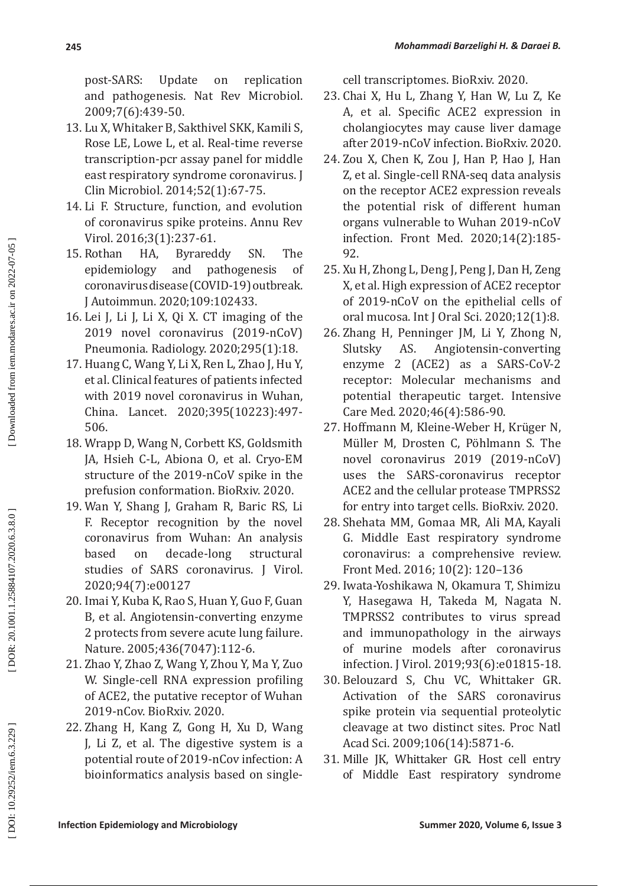post-SARS: Update on replication and pathogenesis. Nat Rev Microbiol. 2009;7(6):439-50.

- 13. Lu X, Whitaker B, Sakthivel SKK, Kamili S, Rose LE, Lowe L, et al. Real-time reverse transcription-pcr assay panel for middle east respiratory syndrome coronavirus. J Clin Microbiol. 2014;52(1):67-75.
- 14. Li F. Structure, function, and evolution of coronavirus spike proteins. Annu Rev Virol. 2016;3(1):237-61.
- 15. Rothan HA, Byrareddy SN. The pathogenesis coronavirus disease (COVID-19) outbreak. J Autoimmun. 2020;109:102433.
- 16. Lei J, Li J, Li X, Qi X. CT imaging of the 2019 novel coronavirus (2019-nCoV) Pneumonia. Radiology. 2020;295(1):18.
- 17. Huang C, Wang Y, Li X, Ren L, Zhao J, Hu Y, et al. Clinical features of patients infected with 2019 novel coronavirus in Wuhan, China. Lancet. 2020;395(10223):497- 506.
- 18. Wrapp D, Wang N, Corbett KS, Goldsmith JA, Hsieh C-L, Abiona O, et al. Cryo-EM structure of the 2019-nCoV spike in the prefusion conformation. BioRxiv. 2020.
- 19. Wan Y, Shang J, Graham R, Baric RS, Li F. Receptor recognition by the novel coronavirus from Wuhan: An analysis based on decade-long structural studies of SARS coronavirus. J Virol. 2020;94(7):e00127
- 20. Imai Y, Kuba K, Rao S, Huan Y, Guo F, Guan B, et al. Angiotensin-converting enzyme 2 protects from severe acute lung failure. Nature. 2005;436(7047):112-6.
- 21. Zhao Y, Zhao Z, Wang Y, Zhou Y, Ma Y, Zuo W. Single-cell RNA expression profiling of ACE2, the putative receptor of Wuhan 2019-nCov. BioRxiv. 2020.
- 22. Zhang H, Kang Z, Gong H, Xu D, Wang J, Li Z, et al. The digestive system is a potential route of 2019-nCov infection: A bioinformatics analysis based on single-

cell transcriptomes. BioRxiv. 2020.

- 23. Chai X, Hu L, Zhang Y, Han W, Lu Z, Ke A, et al. Specific ACE2 expression in cholangiocytes may cause liver damage after 2019-nCoV infection. BioRxiv. 2020.
- 24. Zou X, Chen K, Zou J, Han P, Hao J, Han Z, et al. Single-cell RNA-seq data analysis on the receptor ACE2 expression reveals the potential risk of different human organs vulnerable to Wuhan 2019-nCoV infection. Front Med. 2020;14(2):185- 92.
- 25. Xu H, Zhong L, Deng J, Peng J, Dan H, Zeng X, et al. High expression of ACE2 receptor of 2019-nCoV on the epithelial cells of oral mucosa. Int J Oral Sci. 2020;12(1):8.
- 26. Zhang H, Penninger JM, Li Y, Zhong N, Slutsky AS. Angiotensin-converting enzyme 2 (ACE2) as a SARS-CoV-2 receptor: Molecular mechanisms and potential therapeutic target. Intensive Care Med. 2020;46(4):586-90.
- 27. Hoffmann M, Kleine-Weber H, Krüger N, Müller M, Drosten C, Pöhlmann S. The novel coronavirus 2019 (2019-nCoV) uses the SARS-coronavirus receptor ACE2 and the cellular protease TMPRSS2 for entry into target cells. BioRxiv. 2020.
- 28. [Shehata](https://www.ncbi.nlm.nih.gov/pubmed/?term=Shehata%20MM%5BAuthor%5D&cauthor=true&cauthor_uid=26791756) MM, [Gomaa](https://www.ncbi.nlm.nih.gov/pubmed/?term=Gomaa%20MR%5BAuthor%5D&cauthor=true&cauthor_uid=26791756) MR, [Ali](https://www.ncbi.nlm.nih.gov/pubmed/?term=Ali%20MA%5BAuthor%5D&cauthor=true&cauthor_uid=26791756) MA, [Kayali](https://www.ncbi.nlm.nih.gov/pubmed/?term=Kayali%20G%5BAuthor%5D&cauthor=true&cauthor_uid=26791756) G. Middle East respiratory syndrome coronavirus: a comprehensive review. [Front Med.](https://www.ncbi.nlm.nih.gov/pmc/articles/PMC7089261/) 2016; 10(2): 120–136
- 29. Iwata-Yoshikawa N, Okamura T, Shimizu Y, Hasegawa H, Takeda M, Nagata N. TMPRSS2 contributes to virus spread and immunopathology in the airways of murine models after coronavirus infection. J Virol. 2019;93(6):e01815-18.
- 30. Belouzard S, Chu VC, Whittaker GR. Activation of the SARS coronavirus spike protein via sequential proteolytic cleavage at two distinct sites. Proc Natl Acad Sci. 2009;106(14):5871-6.
- 31. Mille JK, Whittaker GR. Host cell entry of Middle East respiratory syndrome

DOR: 20.1001.1.25884107.2020.6.3.8.0]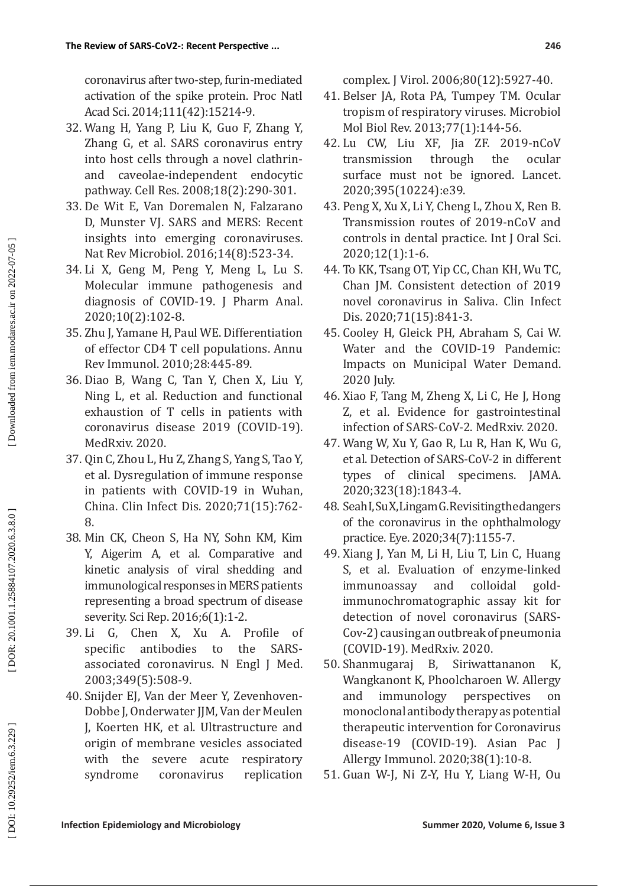coronavirus after two-step, furin-mediated activation of the spike protein. Proc Natl Acad Sci. 2014;111(42):15214-9.

- 32. Wang H, Yang P, Liu K, Guo F, Zhang Y, Zhang G, et al. SARS coronavirus entry into host cells through a novel clathrinand caveolae-independent endocytic pathway. Cell Res. 2008;18(2):290-301.
- 33. De Wit E, Van Doremalen N, Falzarano D, Munster VJ. SARS and MERS: Recent insights into emerging coronaviruses. Nat Rev Microbiol. 2016;14(8):523-34.
- 34. Li X, Geng M, Peng Y, Meng L, Lu S. Molecular immune pathogenesis and diagnosis of COVID-19. J Pharm Anal. 2020;10(2):102-8.
- 35. Zhu J, Yamane H, Paul WE. Differentiation of effector CD4 T cell populations. Annu Rev Immunol. 2010;28:445-89.
- 36. Diao B, Wang C, Tan Y, Chen X, Liu Y, Ning L, et al. Reduction and functional exhaustion of T cells in patients with coronavirus disease 2019 (COVID-19). MedRxiv. 2020.
- 37. Qin C, Zhou L, Hu Z, Zhang S, Yang S, Tao Y, et al. Dysregulation of immune response in patients with COVID-19 in Wuhan, China. Clin Infect Dis. 2020;71(15):762- 8.
- 38. Min CK, Cheon S, Ha NY, Sohn KM, Kim Y, Aigerim A, et al. Comparative and kinetic analysis of viral shedding and immunological responses in MERS patients representing a broad spectrum of disease severity. Sci Rep. 2016;6(1):1-2.
- 39. Li G, Chen X, Xu A. Profile of specific antibodies to the SARSassociated coronavirus. N Engl J Med. 2003;349(5):508-9.
- 40. Snijder EJ, Van der Meer Y, Zevenhoven-Dobbe J, Onderwater JJM, Van der Meulen J, Koerten HK, et al. Ultrastructure and origin of membrane vesicles associated with the severe acute respiratory syndrome coronavirus replication

complex. J Virol. 2006;80(12):5927-40.

- 41. Belser JA, Rota PA, Tumpey TM. Ocular tropism of respiratory viruses. Microbiol Mol Biol Rev. 2013;77(1):144-56.
- 42. Lu CW, Liu XF, Jia ZF. 2019-nCoV transmission through the ocular surface must not be ignored. Lancet. 2020;395(10224):e39.
- 43. Peng X, Xu X, Li Y, Cheng L, Zhou X, Ren B. Transmission routes of 2019-nCoV and controls in dental practice. Int J Oral Sci. 2020;12(1):1-6.
- 44. To KK, Tsang OT, Yip CC, Chan KH, Wu TC, Chan JM. Consistent detection of 2019 novel coronavirus in Saliva. Clin Infect Dis. 2020;71(15):841-3.
- 45. Cooley H, Gleick PH, Abraham S, Cai W. Water and the COVID-19 Pandemic: Impacts on Municipal Water Demand. 2020 July.
- 46. Xiao F, Tang M, Zheng X, Li C, He J, Hong Z, et al. Evidence for gastrointestinal infection of SARS-CoV-2. MedRxiv. 2020.
- 47. Wang W, Xu Y, Gao R, Lu R, Han K, Wu G, et al. Detection of SARS-CoV-2 in different types of clinical specimens. JAMA. 2020;323(18):1843-4.
- 48. Seah I, Su X, Lingam G. Revisiting the dangers of the coronavirus in the ophthalmology practice. Eye. 2020;34(7):1155-7.
- 49. Xiang J, Yan M, Li H, Liu T, Lin C, Huang S, et al. Evaluation of enzyme-linked<br>immunoassav and colloidal goldimmunoassay and colloidal goldimmunochromatographic assay kit for detection of novel coronavirus (SARS-Cov-2) causing an outbreak of pneumonia (COVID-19). MedRxiv. 2020.
- 50. Shanmugaraj B, Siriwattananon K, Wangkanont K, Phoolcharoen W. Allergy<br>and immunology perspectives on immunology perspectives on monoclonal antibody therapy as potential therapeutic intervention for Coronavirus disease-19 (COVID-19). Asian Pac J Allergy Immunol. 2020;38(1):10-8.
- 51. Guan W-J, Ni Z-Y, Hu Y, Liang W-H, Ou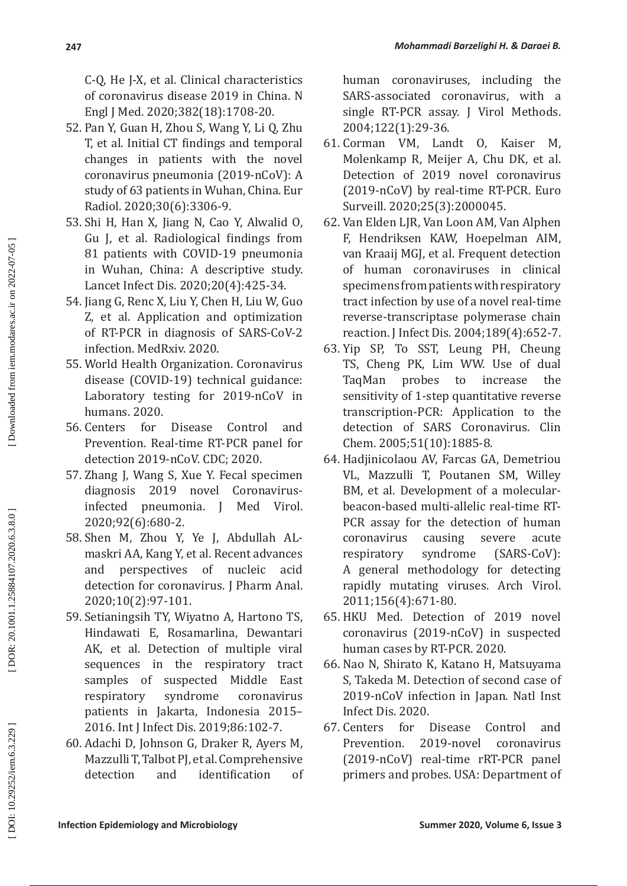C-Q, He J-X, et al. Clinical characteristics of coronavirus disease 2019 in China. N Engl J Med. 2020;382(18):1708-20.

- 52. Pan Y, Guan H, Zhou S, Wang Y, Li Q, Zhu T, et al. Initial CT findings and temporal changes in patients with the novel coronavirus pneumonia (2019-nCoV): A study of 63 patients in Wuhan, China. Eur Radiol. 2020;30(6):3306-9.
- 53. Shi H, Han X, Jiang N, Cao Y, Alwalid O, Gu J, et al. Radiological findings from 81 patients with COVID-19 pneumonia in Wuhan, China: A descriptive study. Lancet Infect Dis. 2020;20(4):425-34.
- 54. Jiang G, Renc X, Liu Y, Chen H, Liu W, Guo Z, et al. Application and optimization of RT-PCR in diagnosis of SARS-CoV-2 infection. MedRxiv. 2020.
- 55. World Health Organization. Coronavirus disease (COVID-19) technical guidance: Laboratory testing for 2019-nCoV in humans. 2020.
- 56. Centers for Disease Control and Prevention. Real-time RT-PCR panel for detection 2019-nCoV. CDC; 2020.
- 57. Zhang J, Wang S, Xue Y. Fecal specimen diagnosis 2019 novel Coronavirusinfected pneumonia. J Med Virol. 2020;92(6):680-2.
- 58. Shen M, Zhou Y, Ye J, Abdullah ALmaskri AA, Kang Y, et al. Recent advances and perspectives of nucleic acid detection for coronavirus. J Pharm Anal. 2020;10(2):97-101.
- 59. Setianingsih TY, Wiyatno A, Hartono TS, Hindawati E, Rosamarlina, Dewantari AK, et al. Detection of multiple viral sequences in the respiratory tract samples of suspected Middle East<br>respiratory syndrome coronavirus respiratory syndrome coronavirus patients in Jakarta, Indonesia 2015– 2016. Int J Infect Dis. 2019;86:102-7.
- 60. Adachi D, Johnson G, Draker R, Ayers M, Mazzulli T, Talbot PJ, et al. Comprehensive detection and identification of

human coronaviruses, including the SARS-associated coronavirus, with a single RT-PCR assay. J Virol Methods. 2004;122(1):29-36.

- 61. Corman VM, Landt O, Kaiser M, Molenkamp R, Meijer A, Chu DK, et al. Detection of 2019 novel coronavirus (2019-nCoV) by real-time RT-PCR. Euro Surveill. 2020;25(3):2000045.
- 62. Van Elden LJR, Van Loon AM, Van Alphen F, Hendriksen KAW, Hoepelman AIM, van Kraaij MGJ, et al. Frequent detection of human coronaviruses in clinical specimens from patients with respiratory tract infection by use of a novel real -time reverse -transcriptase polymerase chain reaction. J Infect Dis. 2004;189(4):652-7.
- 63. Yip SP, To SST, Leung PH, Cheung TS, Cheng PK, Lim WW. Use of dual TaqMan probes to increase the sensitivity of 1-step quantitative reverse transcription-PCR: Application to the detection of SARS Coronavirus. Clin Chem. 2005;51(10):1885-8.
- 64. Hadjinicolaou AV, Farcas GA, Demetriou VL, Mazzulli T, Poutanen SM, Willey BM, et al. Development of a molecularbeacon-based multi-allelic real-time RT-PCR assay for the detection of human coronavirus causing severe acute respiratory syndrome (SARS-CoV): A general methodology for detecting rapidly mutating viruses. Arch Virol. 2011;156(4):671-80.
- 65. HKU Med. Detection of 2019 novel coronavirus (2019-nCoV) in suspected human cases by RT-PCR. 2020.
- 66. Nao N, Shirato K, Katano H, Matsuyama S, Takeda M. Detection of second case of 2019-nCoV infection in Japan. Natl Inst Infect Dis. 2020.
- 67. Centers for Disease Control and Prevention. 2019-novel coronavirus (2019-nCoV) real-time rRT-PCR panel primers and probes. USA: Department of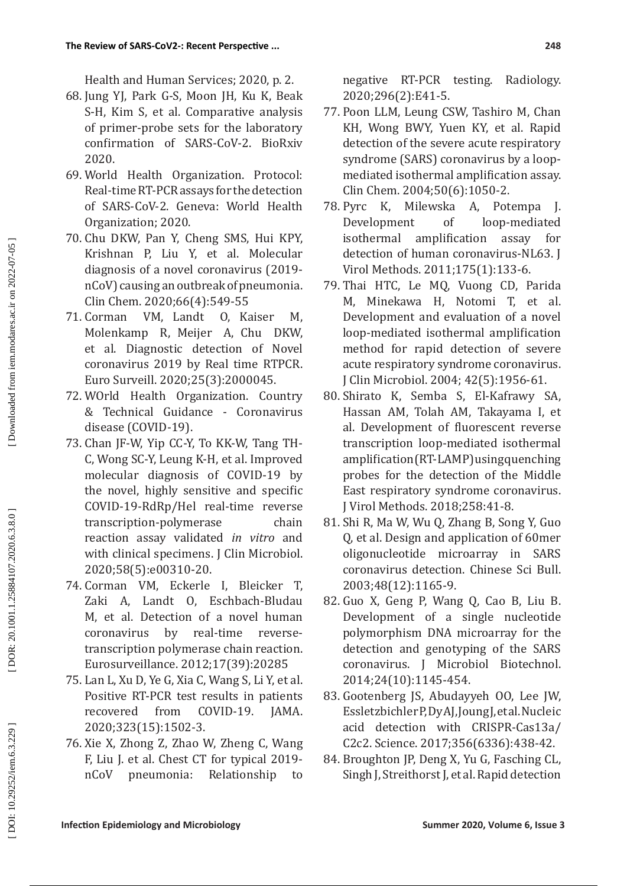Health and Human Services; 2020, p. 2.

- 68. Jung YJ, Park G-S, Moon JH, Ku K, Beak S-H, Kim S, et al. Comparative analysis of primer-probe sets for the laboratory confirmation of SARS-CoV-2. BioRxiv 2020.
- 69. World Health Organization. Protocol: Real-time RT-PCR assays for the detection of SARS-CoV-2. Geneva: World Health Organization; 2020.
- 70. Chu DKW, Pan Y, Cheng SMS, Hui KPY, Krishnan P, Liu Y, et al. Molecular diagnosis of a novel coronavirus (2019 nCoV) causing an outbreak of pneumonia. Clin Chem. 2020;66(4):549-55<br>71. Corman VM, Landt O, K
- VM, Landt O, Kaiser M, Molenkamp R, Meijer A, Chu DKW, et al. Diagnostic detection of Novel coronavirus 2019 by Real time RTPCR. Euro Surveill. 2020;25(3):2000045.
- 72. WOrld Health Organization. Country & Technical Guidance - Coronavirus disease (COVID-19).
- 73. Chan JF-W, Yip CC-Y, To KK-W, Tang TH-C, Wong SC-Y, Leung K-H, et al. Improved molecular diagnosis of COVID-19 by the novel, highly sensitive and specific COVID-19-RdRp/Hel real-time reverse transcription-polymerase chain reaction assay validated *in vitro* and with clinical specimens. J Clin Microbiol. 2020;58(5):e00310-20.
- 74. Corman VM, Eckerle I, Bleicker T, Zaki A, Landt O, Eschbach-Bludau M, et al. Detection of a novel human coronavirus by real-time reversetranscription polymerase chain reaction. Eurosurveillance. 2012;17(39):20285
- 75. Lan L, Xu D, Ye G, Xia C, Wang S, Li Y, et al. Positive RT-PCR test results in patients recovered from COVID-19. JAMA. 2020;323(15):1502-3.
- 76. Xie X, Zhong Z, Zhao W, Zheng C, Wang F, Liu J. et al. Chest CT for typical 2019 nCoV pneumonia: Relationship to

negative RT-PCR testing. Radiology. 2020;296(2):E41-5.

- 77. Poon LLM, Leung CSW, Tashiro M, Chan KH, Wong BWY, Yuen KY, et al. Rapid detection of the severe acute respiratory syndrome (SARS) coronavirus by a loopmediated isothermal amplification assay. Clin Chem. 2004;50(6):1050-2.<br>Pyrc K. Milewska A. Pot
- 78. Pyrc K, Milewska A, Potempa J. Development of loop-mediated<br>isothermal amplification assay for amplification assay for detection of human coronavirus-NL63. J Virol Methods. 2011;175(1):133-6.
- 79. Thai HTC, Le MQ, Vuong CD, Parida M, Minekawa H, Notomi T, et al. Development and evaluation of a novel loop-mediated isothermal amplification method for rapid detection of severe acute respiratory syndrome coronavirus. J Clin Microbiol. 2004; 42(5):1956-61.
- 80. Shirato K, Semba S, El-Kafrawy SA, Hassan AM, Tolah AM, Takayama I, et al. Development of fluorescent reverse transcription loop-mediated isothermal amplification (RT-LAMP) using quenching probes for the detection of the Middle East respiratory syndrome coronavirus. J Virol Methods. 2018;258:41-8.
- 81. Shi R, Ma W, Wu Q, Zhang B, Song Y, Guo Q, et al. Design and application of 60mer oligonucleotide microarray in SARS coronavirus detection. Chinese Sci Bull. 2003;48(12):1165-9.
- 82. Guo X, Geng P, Wang Q, Cao B, Liu B. Development of a single nucleotide polymorphism DNA microarray for the detection and genotyping of the SARS coronavirus. J Microbiol Biotechnol. 2014;24(10):1145-454.
- 83. Gootenberg JS, Abudayyeh OO, Lee JW, Essletzbichler P, Dy AJ, Joung J, et al. Nucleic acid detection with CRISPR-Cas13a/ C2c2. Science. 2017;356(6336):438-42.
- 84. Broughton JP, Deng X, Yu G, Fasching CL, Singh J, Streithorst J, et al. Rapid detection